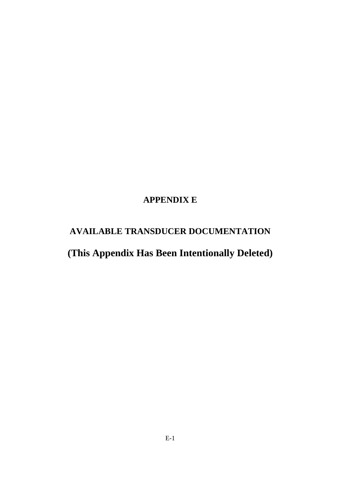# **APPENDIX E**

# **AVAILABLE TRANSDUCER DOCUMENTATION**

# **(This Appendix Has Been Intentionally Deleted)**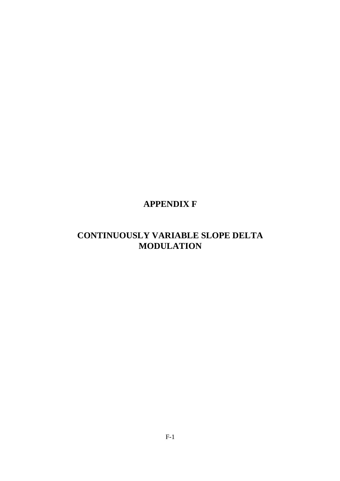# **APPENDIX F**

# **CONTINUOUSLY VARIABLE SLOPE DELTA MODULATION**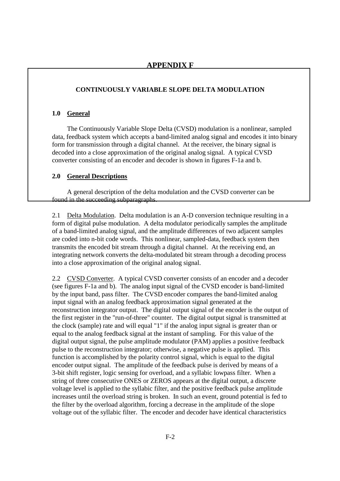### **CONTINUOUSLY VARIABLE SLOPE DELTA MODULATION**

### **1.0 General**

 The Continuously Variable Slope Delta (CVSD) modulation is a nonlinear, sampled data, feedback system which accepts a band-limited analog signal and encodes it into binary form for transmission through a digital channel. At the receiver, the binary signal is decoded into a close approximation of the original analog signal. A typical CVSD converter consisting of an encoder and decoder is shown in figures F-1a and b.

#### **2.0 General Descriptions**

 A general description of the delta modulation and the CVSD converter can be found in the succeeding subparagraphs.

2.1 Delta Modulation. Delta modulation is an A-D conversion technique resulting in a form of digital pulse modulation. A delta modulator periodically samples the amplitude of a band-limited analog signal, and the amplitude differences of two adjacent samples are coded into n-bit code words. This nonlinear, sampled-data, feedback system then transmits the encoded bit stream through a digital channel. At the receiving end, an integrating network converts the delta-modulated bit stream through a decoding process into a close approximation of the original analog signal.

2.2 CVSD Converter. A typical CVSD converter consists of an encoder and a decoder (see figures F-1a and b). The analog input signal of the CVSD encoder is band-limited by the input band, pass filter. The CVSD encoder compares the band-limited analog input signal with an analog feedback approximation signal generated at the reconstruction integrator output. The digital output signal of the encoder is the output of the first register in the "run-of-three" counter. The digital output signal is transmitted at the clock (sample) rate and will equal "1" if the analog input signal is greater than or equal to the analog feedback signal at the instant of sampling. For this value of the digital output signal, the pulse amplitude modulator (PAM) applies a positive feedback pulse to the reconstruction integrator; otherwise, a negative pulse is applied. This function is accomplished by the polarity control signal, which is equal to the digital encoder output signal. The amplitude of the feedback pulse is derived by means of a 3-bit shift register, logic sensing for overload, and a syllabic lowpass filter. When a string of three consecutive ONES or ZEROS appears at the digital output, a discrete voltage level is applied to the syllabic filter, and the positive feedback pulse amplitude increases until the overload string is broken. In such an event, ground potential is fed to the filter by the overload algorithm, forcing a decrease in the amplitude of the slope voltage out of the syllabic filter. The encoder and decoder have identical characteristics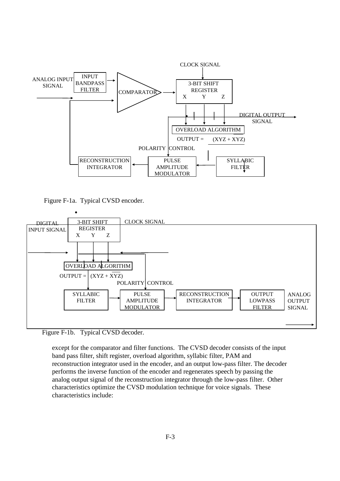

Figure F-1a. Typical CVSD encoder.



Figure F-1b. Typical CVSD decoder.

except for the comparator and filter functions. The CVSD decoder consists of the input band pass filter, shift register, overload algorithm, syllabic filter, PAM and reconstruction integrator used in the encoder, and an output low-pass filter. The decoder performs the inverse function of the encoder and regenerates speech by passing the analog output signal of the reconstruction integrator through the low-pass filter. Other characteristics optimize the CVSD modulation technique for voice signals. These characteristics include: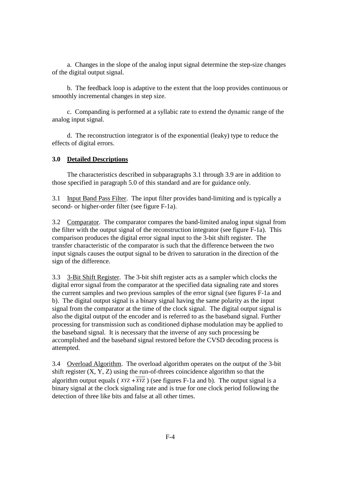a. Changes in the slope of the analog input signal determine the step-size changes of the digital output signal.

 b. The feedback loop is adaptive to the extent that the loop provides continuous or smoothly incremental changes in step size.

 c. Companding is performed at a syllabic rate to extend the dynamic range of the analog input signal.

 d. The reconstruction integrator is of the exponential (leaky) type to reduce the effects of digital errors.

#### **3.0 Detailed Descriptions**

 The characteristics described in subparagraphs 3.1 through 3.9 are in addition to those specified in paragraph 5.0 of this standard and are for guidance only.

3.1 Input Band Pass Filter. The input filter provides band-limiting and is typically a second- or higher-order filter (see figure F-1a).

3.2 Comparator. The comparator compares the band-limited analog input signal from the filter with the output signal of the reconstruction integrator (see figure F-1a). This comparison produces the digital error signal input to the 3-bit shift register. The transfer characteristic of the comparator is such that the difference between the two input signals causes the output signal to be driven to saturation in the direction of the sign of the difference.

3.3 3-Bit Shift Register. The 3-bit shift register acts as a sampler which clocks the digital error signal from the comparator at the specified data signaling rate and stores the current samples and two previous samples of the error signal (see figures F-1a and b). The digital output signal is a binary signal having the same polarity as the input signal from the comparator at the time of the clock signal. The digital output signal is also the digital output of the encoder and is referred to as the baseband signal. Further processing for transmission such as conditioned diphase modulation may be applied to the baseband signal. It is necessary that the inverse of any such processing be accomplished and the baseband signal restored before the CVSD decoding process is attempted.

3.4 Overload Algorithm. The overload algorithm operates on the output of the 3-bit shift register  $(X, Y, Z)$  using the run-of-threes coincidence algorithm so that the algorithm output equals ( $XYZ + \overline{XYZ}$ ) (see figures F-1a and b). The output signal is a binary signal at the clock signaling rate and is true for one clock period following the detection of three like bits and false at all other times.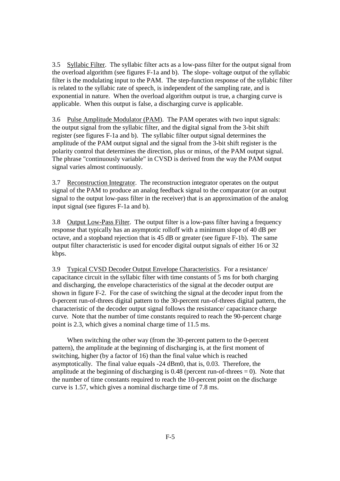3.5 Syllabic Filter. The syllabic filter acts as a low-pass filter for the output signal from the overload algorithm (see figures F-1a and b). The slope- voltage output of the syllabic filter is the modulating input to the PAM. The step-function response of the syllabic filter is related to the syllabic rate of speech, is independent of the sampling rate, and is exponential in nature. When the overload algorithm output is true, a charging curve is applicable. When this output is false, a discharging curve is applicable.

3.6 Pulse Amplitude Modulator (PAM). The PAM operates with two input signals: the output signal from the syllabic filter, and the digital signal from the 3-bit shift register (see figures F-1a and b). The syllabic filter output signal determines the amplitude of the PAM output signal and the signal from the 3-bit shift register is the polarity control that determines the direction, plus or minus, of the PAM output signal. The phrase "continuously variable" in CVSD is derived from the way the PAM output signal varies almost continuously.

3.7 Reconstruction Integrator. The reconstruction integrator operates on the output signal of the PAM to produce an analog feedback signal to the comparator (or an output signal to the output low-pass filter in the receiver) that is an approximation of the analog input signal (see figures F-1a and b).

3.8 Output Low-Pass Filter. The output filter is a low-pass filter having a frequency response that typically has an asymptotic rolloff with a minimum slope of 40 dB per octave, and a stopband rejection that is 45 dB or greater (see figure F-1b). The same output filter characteristic is used for encoder digital output signals of either 16 or 32 kbps.

3.9 Typical CVSD Decoder Output Envelope Characteristics. For a resistance/ capacitance circuit in the syllabic filter with time constants of 5 ms for both charging and discharging, the envelope characteristics of the signal at the decoder output are shown in figure F-2. For the case of switching the signal at the decoder input from the 0-percent run-of-threes digital pattern to the 30-percent run-of-threes digital pattern, the characteristic of the decoder output signal follows the resistance/ capacitance charge curve. Note that the number of time constants required to reach the 90-percent charge point is 2.3, which gives a nominal charge time of 11.5 ms.

 When switching the other way (from the 30-percent pattern to the 0-percent pattern), the amplitude at the beginning of discharging is, at the first moment of switching, higher (by a factor of 16) than the final value which is reached asymptotically. The final value equals -24 dBm0, that is, 0.03. Therefore, the amplitude at the beginning of discharging is  $0.48$  (percent run-of-threes  $= 0$ ). Note that the number of time constants required to reach the 10-percent point on the discharge curve is 1.57, which gives a nominal discharge time of 7.8 ms.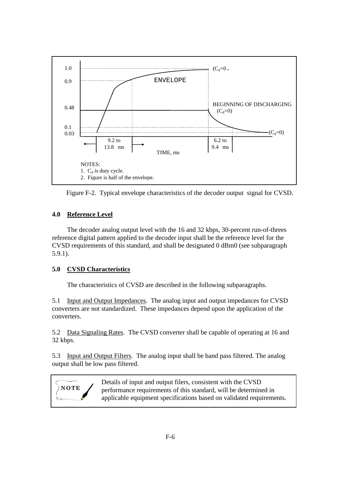

Figure F-2. Typical envelope characteristics of the decoder output signal for CVSD.

## **4.0 Reference Level**

 The decoder analog output level with the 16 and 32 kbps, 30-percent run-of-threes reference digital pattern applied to the decoder input shall be the reference level for the CVSD requirements of this standard, and shall be designated 0 dBm0 (see subparagraph 5.9.1).

# **5.0 CVSD Characteristics**

The characteristics of CVSD are described in the following subparagraphs.

5.1 Input and Output Impedances. The analog input and output impedances for CVSD converters are not standardized. These impedances depend upon the application of the converters.

5.2 Data Signaling Rates. The CVSD converter shall be capable of operating at 16 and 32 kbps.

5.3 Input and Output Filters. The analog input shall be band pass filtered. The analog output shall be low pass filtered.



Details of input and output filers, consistent with the CVSD performance requirements of this standard, will be determined in applicable equipment specifications based on validated requirements.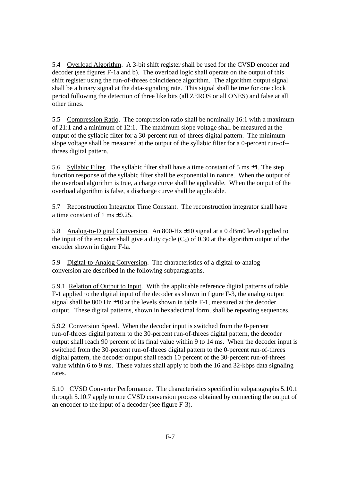5.4 Overload Algorithm. A 3-bit shift register shall be used for the CVSD encoder and decoder (see figures F-1a and b). The overload logic shall operate on the output of this shift register using the run-of-threes coincidence algorithm. The algorithm output signal shall be a binary signal at the data-signaling rate. This signal shall be true for one clock period following the detection of three like bits (all ZEROS or all ONES) and false at all other times.

5.5 Compression Ratio. The compression ratio shall be nominally 16:1 with a maximum of 21:1 and a minimum of 12:1. The maximum slope voltage shall be measured at the output of the syllabic filter for a 30-percent run-of-threes digital pattern. The minimum slope voltage shall be measured at the output of the syllabic filter for a 0-percent run-of- threes digital pattern.

5.6 Syllabic Filter. The syllabic filter shall have a time constant of 5 ms  $\pm 1$ . The step function response of the syllabic filter shall be exponential in nature. When the output of the overload algorithm is true, a charge curve shall be applicable. When the output of the overload algorithm is false, a discharge curve shall be applicable.

5.7 Reconstruction Integrator Time Constant. The reconstruction integrator shall have a time constant of 1 ms ±0.25.

5.8 Analog-to-Digital Conversion. An 800-Hz ±10 signal at a 0 dBm0 level applied to the input of the encoder shall give a duty cycle  $(C_d)$  of 0.30 at the algorithm output of the encoder shown in figure F-la.

5.9 Digital-to-Analog Conversion. The characteristics of a digital-to-analog conversion are described in the following subparagraphs.

5.9.1 Relation of Output to Input. With the applicable reference digital patterns of table F-1 applied to the digital input of the decoder as shown in figure F-3, the analog output signal shall be 800 Hz  $\pm$ 10 at the levels shown in table F-1, measured at the decoder output. These digital patterns, shown in hexadecimal form, shall be repeating sequences.

5.9.2 Conversion Speed. When the decoder input is switched from the 0-percent run-of-threes digital pattern to the 30-percent run-of-threes digital pattern, the decoder output shall reach 90 percent of its final value within 9 to 14 ms. When the decoder input is switched from the 30-percent run-of-threes digital pattern to the 0-percent run-of-threes digital pattern, the decoder output shall reach 10 percent of the 30-percent run-of-threes value within 6 to 9 ms. These values shall apply to both the 16 and 32-kbps data signaling rates.

5.10 CVSD Converter Performance. The characteristics specified in subparagraphs 5.10.1 through 5.10.7 apply to one CVSD conversion process obtained by connecting the output of an encoder to the input of a decoder (see figure F-3).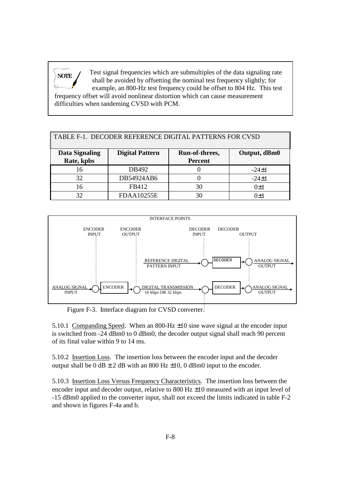Test signal frequencies which are submultiples of the data signaling rate shall be avoided by offsetting the nominal test frequency slightly; for example, an 800-Hz test frequency could be offset to 804 Hz. This test frequency offset will avoid nonlinear distortion which can cause measurement difficulties when tandeming CVSD with PCM. **NOTE**

| TABLE F-1. DECODER REFERENCE DIGITAL PATTERNS FOR CVSD |                        |                                  |              |  |
|--------------------------------------------------------|------------------------|----------------------------------|--------------|--|
| Data Signaling<br>Rate, kpbs                           | <b>Digital Pattern</b> | Run-of-threes,<br><b>Percent</b> | Output, dBm0 |  |
| 16                                                     | DB492                  |                                  | $-24+1$      |  |
| 32                                                     | DB54924AB6             |                                  | $-24+1$      |  |
| 16                                                     | FB412                  | 30                               | $()+1$       |  |
|                                                        | <b>FDAA10255E</b>      | 30                               | T+1          |  |



Figure F-3. Interface diagram for CVSD converter.

5.10.1 Companding Speed. When an 800-Hz  $\pm$ 10 sine wave signal at the encoder input is switched from -24 dBm0 to 0 dBm0, the decoder output signal shall reach 90 percent of its final value within 9 to 14 ms.

5.10.2 Insertion Loss. The insertion loss between the encoder input and the decoder output shall be  $0 \text{ dB} \pm 2 \text{ dB}$  with an 800 Hz  $\pm 10$ , 0 dBm0 input to the encoder.

5.10.3 Insertion Loss Versus Frequency Characteristics. The insertion loss between the encoder input and decoder output, relative to 800 Hz  $\pm$ 10 measured with an input level of -15 dBm0 applied to the converter input, shall not exceed the limits indicated in table F-2 and shown in figures F-4a and b.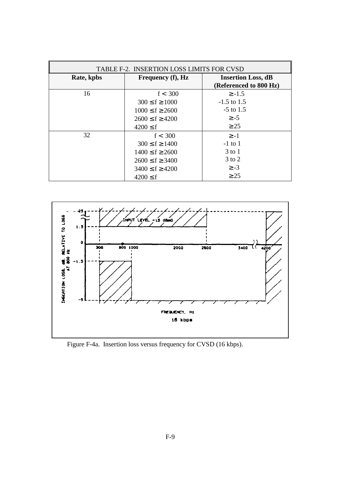| TABLE F-2. INSERTION LOSS LIMITS FOR CVSD |                       |                           |  |  |  |
|-------------------------------------------|-----------------------|---------------------------|--|--|--|
| Rate, kpbs                                | Frequency (f), Hz     | <b>Insertion Loss, dB</b> |  |  |  |
|                                           |                       | (Referenced to 800 Hz)    |  |  |  |
| 16                                        | f < 300               | $\ge -1.5$                |  |  |  |
|                                           | $300 \le f \ge 1000$  | $-1.5$ to 1.5             |  |  |  |
|                                           | $1000 \le f \ge 2600$ | $-5$ to 1.5               |  |  |  |
|                                           | $2600 \le f \ge 4200$ | $\geq$ -5                 |  |  |  |
|                                           | $4200 \leq f$         | $\geq$ 25                 |  |  |  |
| 32                                        | f < 300               | $> -1$                    |  |  |  |
|                                           | $300 \le f \ge 1400$  | $-1$ to 1                 |  |  |  |
|                                           | $1400 \le f \ge 2600$ | $3$ to 1                  |  |  |  |
|                                           | $2600 \le f \ge 3400$ | $3 \text{ to } 2$         |  |  |  |
|                                           | $3400 \le f \ge 4200$ | $\geq -3$                 |  |  |  |
|                                           | $4200 \leq f$         | $\geq$ 25                 |  |  |  |



Figure F-4a. Insertion loss versus frequency for CVSD (16 kbps).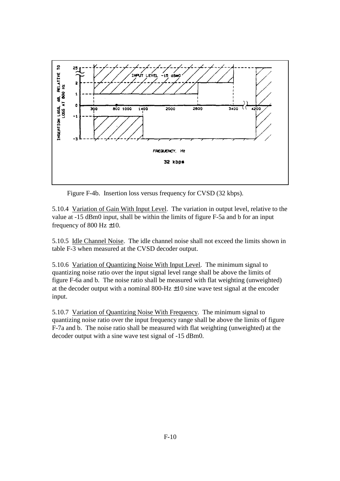

Figure F-4b. Insertion loss versus frequency for CVSD (32 kbps).

5.10.4 Variation of Gain With Input Level. The variation in output level, relative to the value at -15 dBm0 input, shall be within the limits of figure F-5a and b for an input frequency of 800 Hz  $\pm 10$ .

5.10.5 Idle Channel Noise. The idle channel noise shall not exceed the limits shown in table F-3 when measured at the CVSD decoder output.

5.10.6 Variation of Quantizing Noise With Input Level. The minimum signal to quantizing noise ratio over the input signal level range shall be above the limits of figure F-6a and b. The noise ratio shall be measured with flat weighting (unweighted) at the decoder output with a nominal 800-Hz  $\pm 10$  sine wave test signal at the encoder input.

5.10.7 Variation of Quantizing Noise With Frequency. The minimum signal to quantizing noise ratio over the input frequency range shall be above the limits of figure F-7a and b. The noise ratio shall be measured with flat weighting (unweighted) at the decoder output with a sine wave test signal of -15 dBm0.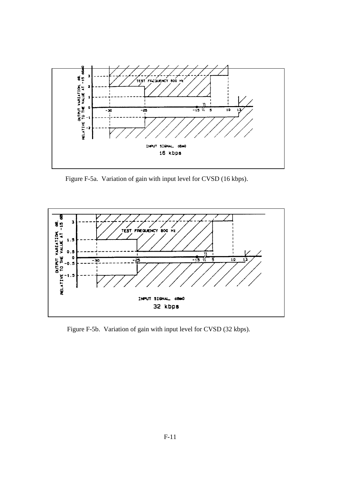

Figure F-5a. Variation of gain with input level for CVSD (16 kbps).



Figure F-5b. Variation of gain with input level for CVSD (32 kbps).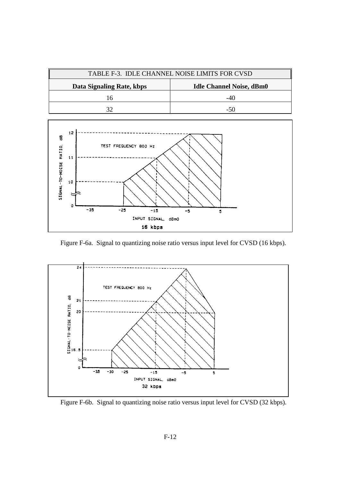



Figure F-6a. Signal to quantizing noise ratio versus input level for CVSD (16 kbps).



Figure F-6b. Signal to quantizing noise ratio versus input level for CVSD (32 kbps).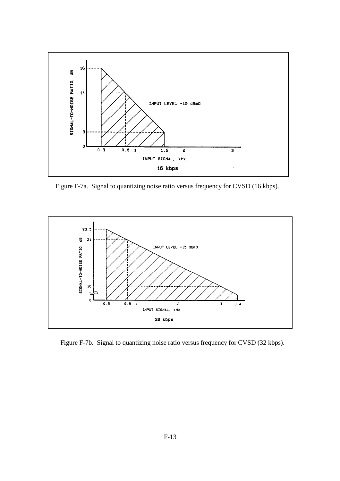

Figure F-7a. Signal to quantizing noise ratio versus frequency for CVSD (16 kbps).



Figure F-7b. Signal to quantizing noise ratio versus frequency for CVSD (32 kbps).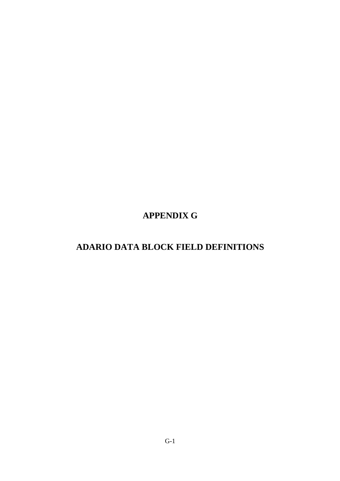**APPENDIX G** 

# **ADARIO DATA BLOCK FIELD DEFINITIONS**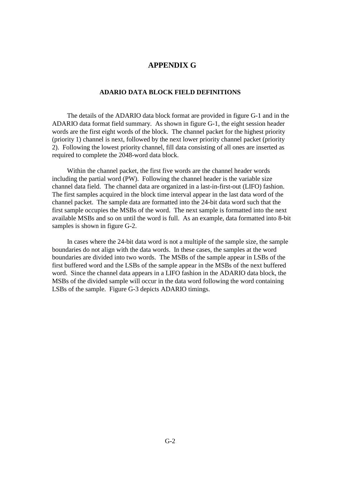## **APPENDIX G**

### **ADARIO DATA BLOCK FIELD DEFINITIONS**

 The details of the ADARIO data block format are provided in figure G-1 and in the ADARIO data format field summary. As shown in figure G-1, the eight session header words are the first eight words of the block. The channel packet for the highest priority (priority 1) channel is next, followed by the next lower priority channel packet (priority 2). Following the lowest priority channel, fill data consisting of all ones are inserted as required to complete the 2048-word data block.

 Within the channel packet, the first five words are the channel header words including the partial word (PW). Following the channel header is the variable size channel data field. The channel data are organized in a last-in-first-out (LIFO) fashion. The first samples acquired in the block time interval appear in the last data word of the channel packet. The sample data are formatted into the 24-bit data word such that the first sample occupies the MSBs of the word. The next sample is formatted into the next available MSBs and so on until the word is full. As an example, data formatted into 8-bit samples is shown in figure G-2.

 In cases where the 24-bit data word is not a multiple of the sample size, the sample boundaries do not align with the data words. In these cases, the samples at the word boundaries are divided into two words. The MSBs of the sample appear in LSBs of the first buffered word and the LSBs of the sample appear in the MSBs of the next buffered word. Since the channel data appears in a LIFO fashion in the ADARIO data block, the MSBs of the divided sample will occur in the data word following the word containing LSBs of the sample. Figure G-3 depicts ADARIO timings.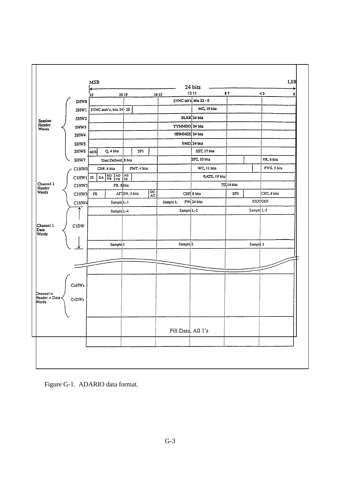

Figure G-1. ADARIO data format.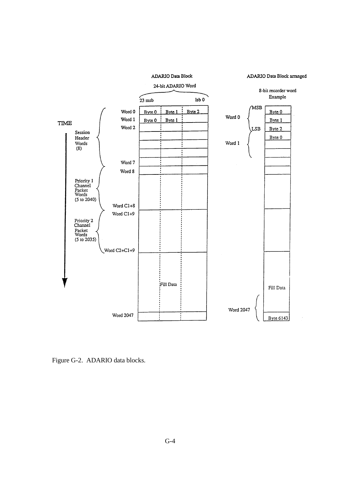ADARIO Data Block

ADARIO Data Block arranged



Figure G-2. ADARIO data blocks.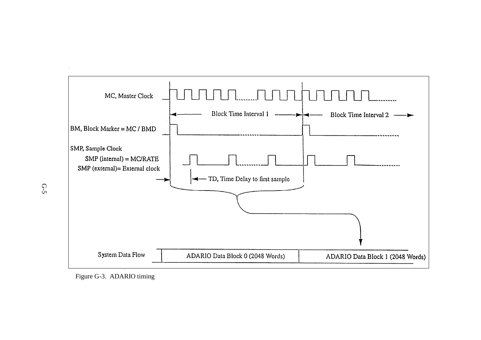

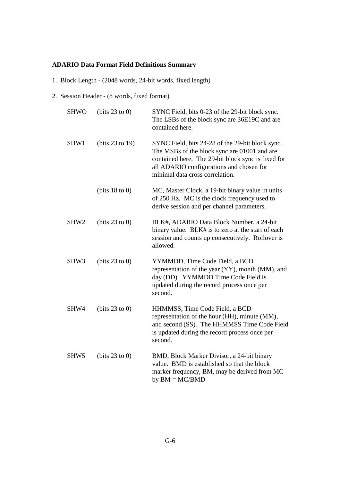## **ADARIO Data Format Field Definitions Summary**

- 1. Block Length (2048 words, 24-bit words, fixed length)
- 2. Session Header (8 words, fixed format)

| <b>SHWO</b>      | (bits $23$ to 0)  | SYNC Field, bits 0-23 of the 29-bit block sync.<br>The LSBs of the block sync are 36E19C and are<br>contained here.                                                                                                                   |
|------------------|-------------------|---------------------------------------------------------------------------------------------------------------------------------------------------------------------------------------------------------------------------------------|
| SHW1             | (bits $23$ to 19) | SYNC Field, bits 24-28 of the 29-bit block sync.<br>The MSBs of the block sync are 01001 and are<br>contained here. The 29-bit block sync is fixed for<br>all ADARIO configurations and chosen for<br>minimal data cross correlation. |
|                  | (bits $18$ to 0)  | MC, Master Clock, a 19-bit binary value in units<br>of 250 Hz. MC is the clock frequency used to<br>derive session and per channel parameters.                                                                                        |
| SHW <sub>2</sub> | (bits $23$ to 0)  | BLK#, ADARIO Data Block Number, a 24-bit<br>binary value. BLK# is to zero at the start of each<br>session and counts up consecutively. Rollover is<br>allowed.                                                                        |
| SHW <sub>3</sub> | (bits $23$ to 0)  | YYMMDD, Time Code Field, a BCD<br>representation of the year (YY), month (MM), and<br>day (DD). YYMMDD Time Code Field is<br>updated during the record process once per<br>second.                                                    |
| SHW4             | (bits $23$ to 0)  | HHMMSS, Time Code Field, a BCD<br>representation of the hour (HH), minute (MM),<br>and second (SS). The HHMMSS Time Code Field<br>is updated during the record process once per<br>second.                                            |
| SHW <sub>5</sub> | (bits $23$ to 0)  | BMD, Block Marker Divisor, a 24-bit binary<br>value. BMD is established so that the block<br>marker frequency, BM, may be derived from MC<br>by $BM = MC/BMD$                                                                         |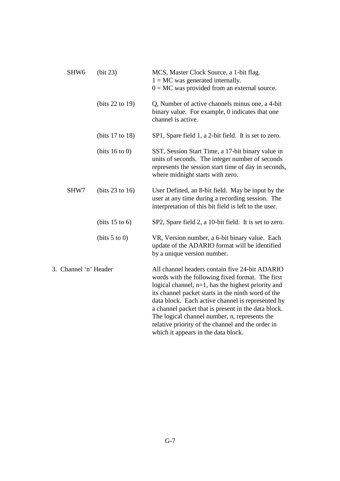| SHW <sub>6</sub>      | (bit 23)             | MCS, Master Clock Source, a 1-bit flag.<br>$1 = MC$ was generated internally.<br>$0 = MC$ was provided from an external source.                                                                                                                                                                                                                                                                                                                                            |
|-----------------------|----------------------|----------------------------------------------------------------------------------------------------------------------------------------------------------------------------------------------------------------------------------------------------------------------------------------------------------------------------------------------------------------------------------------------------------------------------------------------------------------------------|
|                       | (bits $22$ to $19$ ) | Q, Number of active channels minus one, a 4-bit<br>binary value. For example, 0 indicates that one<br>channel is active.                                                                                                                                                                                                                                                                                                                                                   |
|                       | (bits 17 to 18)      | SP1, Spare field 1, a 2-bit field. It is set to zero.                                                                                                                                                                                                                                                                                                                                                                                                                      |
|                       | (bits $16$ to 0)     | SST, Session Start Time, a 17-bit binary value in<br>units of seconds. The integer number of seconds<br>represents the session start time of day in seconds,<br>where midnight starts with zero.                                                                                                                                                                                                                                                                           |
| SHW7                  | (bits $23$ to 16)    | User Defined, an 8-bit field. May be input by the<br>user at any time during a recording session. The<br>interpretation of this bit field is left to the user.                                                                                                                                                                                                                                                                                                             |
|                       | (bits $15$ to 6)     | SP2, Spare field 2, a 10-bit field. It is set to zero.                                                                                                                                                                                                                                                                                                                                                                                                                     |
|                       | (bits $5$ to 0)      | VR, Version number, a 6-bit binary value. Each<br>update of the ADARIO format will be identified<br>by a unique version number.                                                                                                                                                                                                                                                                                                                                            |
| 3. Channel 'n' Header |                      | All channel headers contain five 24-bit ADARIO<br>words with the following fixed format. The first<br>logical channel, $n=1$ , has the highest priority and<br>its channel packet starts in the ninth word of the<br>data block. Each active channel is represented by<br>a channel packet that is present in the data block.<br>The logical channel number, n, represents the<br>relative priority of the channel and the order in<br>which it appears in the data block. |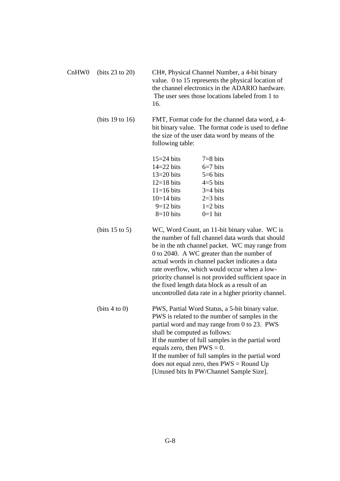| CH#, Physical Channel Number, a 4-bit binary<br>value. 0 to 15 represents the physical location of<br>the channel electronics in the ADARIO hardware.<br>The user sees those locations labeled from 1 to<br>16. |                                                                                                                                                           |  |
|-----------------------------------------------------------------------------------------------------------------------------------------------------------------------------------------------------------------|-----------------------------------------------------------------------------------------------------------------------------------------------------------|--|
| following table:                                                                                                                                                                                                | FMT, Format code for the channel data word, a 4-<br>bit binary value. The format code is used to define<br>the size of the user data word by means of the |  |
| $15=24$ bits                                                                                                                                                                                                    | $7=8$ bits                                                                                                                                                |  |
|                                                                                                                                                                                                                 | $6=7$ bits                                                                                                                                                |  |
|                                                                                                                                                                                                                 | $14=22$ bits                                                                                                                                              |  |

| $14=22$ bits<br>$6=7$ bits                                                                 |
|--------------------------------------------------------------------------------------------|
| $5=6$ bits                                                                                 |
| $4=5$ bits                                                                                 |
| $3=4$ bits                                                                                 |
| $2=3$ bits                                                                                 |
| $1=2$ bits                                                                                 |
| $0=1$ bit                                                                                  |
| $13=20$ bits<br>$12=18$ bits<br>$11=16$ bits<br>$10=14$ bits<br>$9=12$ bits<br>$8=10$ bits |

- (bits 15 to 5) WC, Word Count, an 11-bit binary value. WC is the number of full channel data words that should be in the nth channel packet. WC may range from 0 to 2040. A WC greater than the number of actual words in channel packet indicates a data rate overflow, which would occur when a lowpriority channel is not provided sufficient space in the fixed length data block as a result of an uncontrolled data rate in a higher priority channel.
- (bits 4 to 0) PWS, Partial Word Status, a 5-bit binary value. PWS is related to the number of samples in the partial word and may range from 0 to 23. PWS shall be computed as follows: If the number of full samples in the partial word equals zero, then  $PWS = 0$ . If the number of full samples in the partial word does not equal zero, then  $PWS =$ Round Up [Unused bits In PW/Channel Sample Size].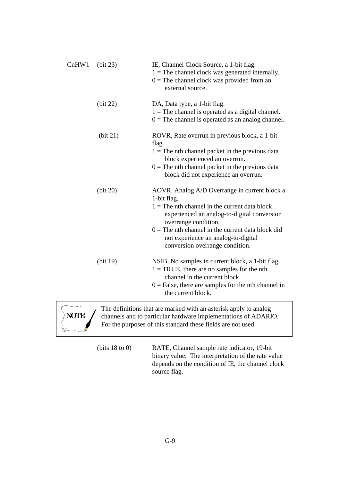| ChHW1 | (bit 23) | IE, Channel Clock Source, a 1-bit flag.<br>$1 =$ The channel clock was generated internally.<br>$0 =$ The channel clock was provided from an<br>external source.                                                                                                                                                        |
|-------|----------|-------------------------------------------------------------------------------------------------------------------------------------------------------------------------------------------------------------------------------------------------------------------------------------------------------------------------|
|       | (bit 22) | DA, Data type, a 1-bit flag.<br>$1 =$ The channel is operated as a digital channel.<br>$0 =$ The channel is operated as an analog channel.                                                                                                                                                                              |
|       | (bit 21) | ROVR, Rate overrun in previous block, a 1-bit<br>flag.<br>$1 =$ The nth channel packet in the previous data<br>block experienced an overrun.<br>$0 =$ The nth channel packet in the previous data<br>block did not experience an overrun.                                                                               |
|       | (bit 20) | AOVR, Analog A/D Overrange in current block a<br>1-bit flag.<br>$1 =$ The nth channel in the current data block<br>experienced an analog-to-digital conversion<br>overrange condition.<br>$0 =$ The nth channel in the current data block did<br>not experience an analog-to-digital<br>conversion overrange condition. |
|       | (bit 19) | NSIB, No samples in current block, a 1-bit flag.<br>$1 = TRUE$ , there are no samples for the nth<br>channel in the current block.<br>$0 = False$ , there are samples for the nth channel in<br>the current block.                                                                                                      |
|       |          | The definitions that are marked with an asterisk apply to analog<br>channels and to particular hardware implementations of ADARIO.                                                                                                                                                                                      |



channels and to particular hardware implementations of ADARIO. For the purposes of this standard these fields are not used.

 (bits 18 to 0) RATE, Channel sample rate indicator, 19-bit binary value. The interpretation of the rate value depends on the condition of IE, the channel clock source flag.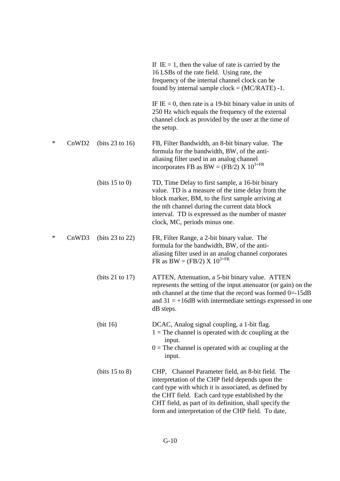|        |                   |                  | If IE = 1, then the value of rate is carried by the<br>16 LSBs of the rate field. Using rate, the<br>frequency of the internal channel clock can be<br>found by internal sample $clock = (MC/RATE) - 1$ .                                                                                                                          |
|--------|-------------------|------------------|------------------------------------------------------------------------------------------------------------------------------------------------------------------------------------------------------------------------------------------------------------------------------------------------------------------------------------|
|        |                   |                  | IF IE = 0, then rate is a 19-bit binary value in units of<br>250 Hz which equals the frequency of the external<br>channel clock as provided by the user at the time of<br>the setup.                                                                                                                                               |
| $\ast$ | CnWD <sub>2</sub> | (bits 23 to 16)  | FB, Filter Bandwidth, an 8-bit binary value. The<br>formula for the bandwidth, BW, of the anti-<br>aliasing filter used in an analog channel<br>incorporates FB as BW = (FB/2) X $10^{3+FR}$                                                                                                                                       |
|        |                   | (bits $15$ to 0) | TD, Time Delay to first sample, a 16-bit binary<br>value. TD is a measure of the time delay from the<br>block marker, BM, to the first sample arriving at<br>the nth channel during the current data block<br>interval. TD is expressed as the number of master<br>clock, MC, periods minus one.                                   |
| $\ast$ | CnWD3             | (bits 23 to 22)  | FR, Filter Range, a 2-bit binary value. The<br>formula for the bandwidth, BW, of the anti-<br>aliasing filter used in an analog channel corporates<br>FR as BW = (FB/2) X $10^{3+FR}$                                                                                                                                              |
|        |                   | (bits 21 to 17)  | ATTEN, Attenuation, a 5-bit binary value. ATTEN<br>represents the setting of the input attenuator (or gain) on the<br>nth channel at the time that the record was formed 0=-15dB<br>and $31 = +16$ dB with intermediate settings expressed in one<br>dB steps.                                                                     |
|        |                   | (bit 16)         | DCAC, Analog signal coupling, a 1-bit flag.<br>$1 =$ The channel is operated with dc coupling at the<br>input.<br>$0 =$ The channel is operated with ac coupling at the<br>input.                                                                                                                                                  |
|        |                   | (bits $15$ to 8) | CHP, Channel Parameter field, an 8-bit field. The<br>interpretation of the CHP field depends upon the<br>card type with which it is associated, as defined by<br>the CHT field. Each card type established by the<br>CHT field, as part of its definition, shall specify the<br>form and interpretation of the CHP field. To date, |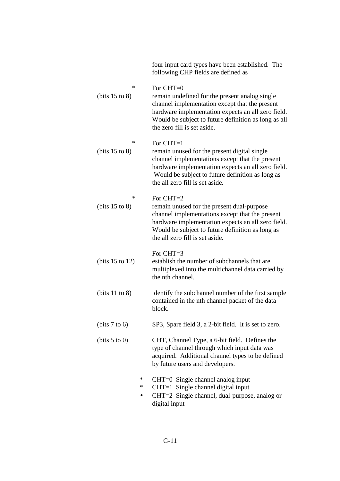|                               | four input card types have been established. The<br>following CHP fields are defined as                                                                                                                                                                    |
|-------------------------------|------------------------------------------------------------------------------------------------------------------------------------------------------------------------------------------------------------------------------------------------------------|
| $\ast$<br>(bits $15$ to $8$ ) | For CHT=0<br>remain undefined for the present analog single<br>channel implementation except that the present<br>hardware implementation expects an all zero field.<br>Would be subject to future definition as long as all<br>the zero fill is set aside. |
| $\ast$<br>(bits $15$ to 8)    | For CHT=1<br>remain unused for the present digital single<br>channel implementations except that the present<br>hardware implementation expects an all zero field.<br>Would be subject to future definition as long as<br>the all zero fill is set aside.  |
| $\ast$<br>(bits $15$ to 8)    | For CHT=2<br>remain unused for the present dual-purpose<br>channel implementations except that the present<br>hardware implementation expects an all zero field.<br>Would be subject to future definition as long as<br>the all zero fill is set aside.    |
| (bits $15$ to $12$ )          | For CHT=3<br>establish the number of subchannels that are<br>multiplexed into the multichannel data carried by<br>the nth channel.                                                                                                                         |
| (bits $11$ to 8)              | identify the subchannel number of the first sample<br>contained in the nth channel packet of the data<br>block.                                                                                                                                            |
| (bits 7 to 6)                 | SP3, Spare field 3, a 2-bit field. It is set to zero.                                                                                                                                                                                                      |
| (bits 5 to 0)                 | CHT, Channel Type, a 6-bit field. Defines the<br>type of channel through which input data was<br>acquired. Additional channel types to be defined<br>by future users and developers.                                                                       |
| $\ast$<br>$\ast$              | CHT=0 Single channel analog input<br>CHT=1 Single channel digital input<br>CHT=2 Single channel, dual-purpose, analog or<br>digital input                                                                                                                  |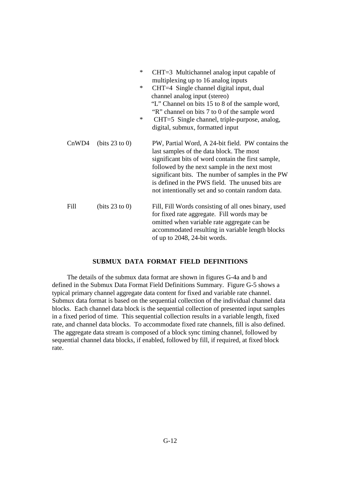|       |                  | $\ast$<br>$\ast$<br>$\ast$ | CHT=3 Multichannel analog input capable of<br>multiplexing up to 16 analog inputs<br>CHT=4 Single channel digital input, dual<br>channel analog input (stereo)<br>"L" Channel on bits 15 to 8 of the sample word,<br>"R" channel on bits 7 to 0 of the sample word<br>CHT=5 Single channel, triple-purpose, analog,<br>digital, submux, formatted input           |
|-------|------------------|----------------------------|-------------------------------------------------------------------------------------------------------------------------------------------------------------------------------------------------------------------------------------------------------------------------------------------------------------------------------------------------------------------|
| CnWD4 | (bits 23 to 0)   |                            | PW, Partial Word, A 24-bit field. PW contains the<br>last samples of the data block. The most<br>significant bits of word contain the first sample,<br>followed by the next sample in the next most<br>significant bits. The number of samples in the PW<br>is defined in the PWS field. The unused bits are<br>not intentionally set and so contain random data. |
| Fill  | (bits $23$ to 0) |                            | Fill, Fill Words consisting of all ones binary, used<br>for fixed rate aggregate. Fill words may be<br>omitted when variable rate aggregate can be<br>accommodated resulting in variable length blocks<br>of up to 2048, 24-bit words.                                                                                                                            |

#### **SUBMUX DATA FORMAT FIELD DEFINITIONS**

 The details of the submux data format are shown in figures G-4a and b and defined in the Submux Data Format Field Definitions Summary. Figure G-5 shows a typical primary channel aggregate data content for fixed and variable rate channel. Submux data format is based on the sequential collection of the individual channel data blocks. Each channel data block is the sequential collection of presented input samples in a fixed period of time. This sequential collection results in a variable length, fixed rate, and channel data blocks. To accommodate fixed rate channels, fill is also defined. The aggregate data stream is composed of a block sync timing channel, followed by sequential channel data blocks, if enabled, followed by fill, if required, at fixed block rate.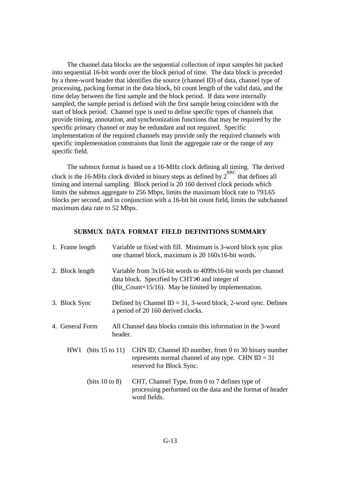The channel data blocks are the sequential collection of input samples bit packed into sequential 16-bit words over the block period of time. The data block is preceded by a three-word header that identifies the source (channel ID) of data, channel type of processing, packing format in the data block, bit count length of the valid data, and the time delay between the first sample and the block period. If data were internally sampled, the sample period is defined with the first sample being coincident with the start of block period. Channel type is used to define specific types of channels that provide timing, annotation, and synchronization functions that may be required by the specific primary channel or may be redundant and not required. Specific implementation of the required channels may provide only the required channels with specific implementation constraints that limit the aggregate rate or the range of any specific field.

 The submux format is based on a 16-MHz clock defining all timing. The derived clock is the 16-MHz clock divided in binary steps as defined by  $2^{BRC}$  that defines all timing and internal sampling. Block period is 20 160 derived clock periods which limits the submux aggregate to 256 Mbps, limits the maximum block rate to 793.65 blocks per second, and in conjunction with a 16-bit bit count field, limits the subchannel maximum data rate to 52 Mbps.

### **SUBMUX DATA FORMAT FIELD DEFINITIONS SUMMARY**

| 1. Frame length             |  | Variable or fixed with fill. Minimum is 3-word block sync plus<br>one channel block, maximum is 20 160x16-bit words.                                                         |
|-----------------------------|--|------------------------------------------------------------------------------------------------------------------------------------------------------------------------------|
| 2. Block length             |  | Variable from $3x16$ -bit words to $4099x16$ -bit words per channel<br>data block. Specified by CHT>0 and integer of<br>(Bit_Count+15/16). May be limited by implementation. |
| 3. Block Sync               |  | Defined by Channel ID = 31, 3-word block, 2-word sync. Defines<br>a period of 20 160 derived clocks.                                                                         |
| 4. General Form<br>header.  |  | All Channel data blocks contain this information in the 3-word                                                                                                               |
| (bits $15$ to $11$ )<br>HW1 |  | CHN ID, Channel ID number, from 0 to 30 binary number<br>represents normal channel of any type. CHN $ID = 31$<br>reserved for Block Sync.                                    |
| (bits $10$ to $8$ )         |  | CHT, Channel Type, from 0 to 7 defines type of<br>processing performed on the data and the format of header<br>word fields.                                                  |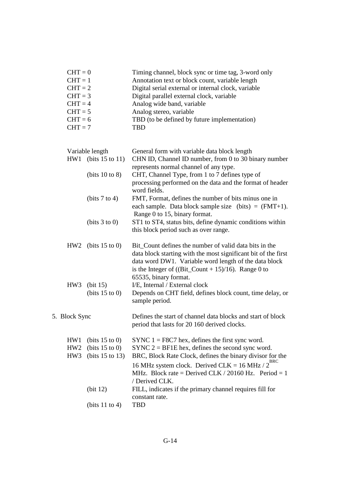| $CHT = 0$ | Timing channel, block sync or time tag, 3-word only |
|-----------|-----------------------------------------------------|
| $CHT = 1$ | Annotation text or block count, variable length     |
| $CHT = 2$ | Digital serial external or internal clock, variable |
| $CHT = 3$ | Digital parallel external clock, variable           |
| $CHT = 4$ | Analog wide band, variable                          |
| $CHT = 5$ | Analog stereo, variable                             |
| $CHT = 6$ | TBD (to be defined by future implementation)        |
| $CHT = 7$ | TRD                                                 |

|                                           | Variable length                                                          | General form with variable data block length                                                                                                                                                                                                                                                                                                                                          |  |  |  |  |  |  |
|-------------------------------------------|--------------------------------------------------------------------------|---------------------------------------------------------------------------------------------------------------------------------------------------------------------------------------------------------------------------------------------------------------------------------------------------------------------------------------------------------------------------------------|--|--|--|--|--|--|
|                                           | HW1 (bits $15$ to $11$ )                                                 | CHN ID, Channel ID number, from 0 to 30 binary number<br>represents normal channel of any type.                                                                                                                                                                                                                                                                                       |  |  |  |  |  |  |
|                                           | (bits 10 to 8)                                                           | CHT, Channel Type, from 1 to 7 defines type of<br>processing performed on the data and the format of header<br>word fields.                                                                                                                                                                                                                                                           |  |  |  |  |  |  |
|                                           | (bits 7 to 4)                                                            | FMT, Format, defines the number of bits minus one in<br>each sample. Data block sample size (bits) = $(FMT+1)$ .<br>Range 0 to 15, binary format.                                                                                                                                                                                                                                     |  |  |  |  |  |  |
|                                           | (bits 3 to 0)                                                            | ST1 to ST4, status bits, define dynamic conditions within<br>this block period such as over range.                                                                                                                                                                                                                                                                                    |  |  |  |  |  |  |
|                                           | HW2 (bits $15$ to 0)                                                     | Bit_Count defines the number of valid data bits in the<br>data block starting with the most significant bit of the first<br>data word DW1. Variable word length of the data block<br>is the Integer of ((Bit_Count + 15)/16). Range 0 to<br>65535, binary format.                                                                                                                     |  |  |  |  |  |  |
| HW <sub>3</sub>                           | (bit 15)<br>(bits $15$ to 0)                                             | I/E, Internal / External clock<br>Depends on CHT field, defines block count, time delay, or<br>sample period.                                                                                                                                                                                                                                                                         |  |  |  |  |  |  |
| 5. Block Sync                             |                                                                          | Defines the start of channel data blocks and start of block<br>period that lasts for 20 160 derived clocks.                                                                                                                                                                                                                                                                           |  |  |  |  |  |  |
| HW1<br>HW <sub>2</sub><br>HW <sub>3</sub> | (bits $15$ to 0)<br>(bits $15$ to 0)<br>(bits $15$ to $13$ )<br>(bit 12) | SYNC $1 = F8C7$ hex, defines the first sync word.<br>SYNC $2 = BFIE$ hex, defines the second sync word.<br>BRC, Block Rate Clock, defines the binary divisor for the<br>16 MHz system clock. Derived CLK = 16 MHz / $2^{BRC}$<br>MHz. Block rate = Derived CLK / 20160 Hz. Period = 1<br>/ Derived CLK.<br>FILL, indicates if the primary channel requires fill for<br>constant rate. |  |  |  |  |  |  |
|                                           | (bits $11$ to 4)                                                         | <b>TBD</b>                                                                                                                                                                                                                                                                                                                                                                            |  |  |  |  |  |  |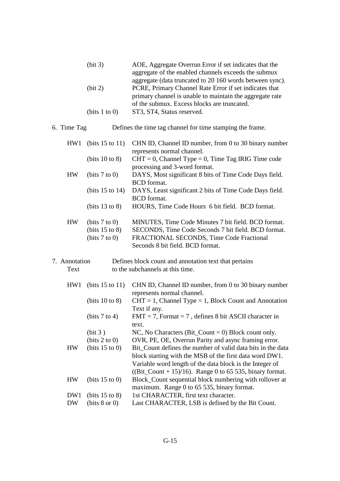| (bit 3)            | AOE, Aggregate Overrun Error if set indicates that the   |
|--------------------|----------------------------------------------------------|
|                    | aggregate of the enabled channels exceeds the submux     |
|                    | aggregate (data truncated to 20 160 words between sync). |
| (bit 2)            | PCRE, Primary Channel Rate Error if set indicates that   |
|                    | primary channel is unable to maintain the aggregate rate |
|                    | of the submux. Excess blocks are truncated.              |
| (bits $1$ to $0$ ) | ST3, ST4, Status reserved.                               |

6. Time Tag Defines the time tag channel for time stamping the frame.

| HW1           | (bits $15$ to $11$ ) | CHN ID, Channel ID number, from 0 to 30 binary number   |
|---------------|----------------------|---------------------------------------------------------|
|               |                      | represents normal channel.                              |
|               | (bits 10 to 8)       | $CHT = 0$ , Channel Type = 0, Time Tag IRIG Time code   |
|               |                      | processing and 3-word format.                           |
| <b>HW</b>     | (bits 7 to 0)        | DAYS, Most significant 8 bits of Time Code Days field.  |
|               |                      | <b>BCD</b> format.                                      |
|               | (bits $15$ to $14$ ) | DAYS, Least significant 2 bits of Time Code Days field. |
|               |                      | <b>BCD</b> format.                                      |
|               | (bits $13$ to 8)     | HOURS, Time Code Hours 6 bit field. BCD format.         |
| <b>HW</b>     | (bits 7 to 0)        | MINUTES, Time Code Minutes 7 bit field. BCD format.     |
|               | (bits $15$ to 8)     | SECONDS, Time Code Seconds 7 bit field. BCD format.     |
|               | (bits 7 to 0)        | FRACTIONAL SECONDS, Time Code Fractional                |
|               |                      | Seconds 8 bit field. BCD format.                        |
| 7. Annotation |                      | Defines block count and annotation text that pertains   |
|               |                      |                                                         |

Text to the subchannels at this time.

| HW <sub>1</sub> | (bits $15$ to $11$ ) | CHN ID, Channel ID number, from 0 to 30 binary number<br>represents normal channel. |
|-----------------|----------------------|-------------------------------------------------------------------------------------|
|                 | (bits 10 to 8)       | $CHT = 1$ , Channel Type = 1, Block Count and Annotation                            |
|                 |                      | Text if any.                                                                        |
|                 | (bits 7 to 4)        | $FMT = 7$ , Format = 7, defines 8 bit ASCII character in                            |
|                 |                      | text.                                                                               |
|                 | (bit 3)              | NC, No Characters (Bit_Count = 0) Block count only.                                 |
|                 | (bits 2 to 0)        | OVR, PE, OE, Overrun Parity and async framing error.                                |
| <b>HW</b>       | (bits $15$ to 0)     | Bit_Count defines the number of valid data bits in the data                         |
|                 |                      | block starting with the MSB of the first data word DW1.                             |
|                 |                      | Variable word length of the data block is the Integer of                            |
|                 |                      | ( $Bit\_Count + 15$ )/16). Range 0 to 65 535, binary format.                        |
| <b>HW</b>       | (bits $15$ to 0)     | Block_Count sequential block numbering with rollover at                             |
|                 |                      | maximum. Range 0 to 65 535, binary format.                                          |
| DW1             | (bits $15$ to 8)     | 1st CHARACTER, first text character.                                                |
| DW              | (bits 8 or 0)        | Last CHARACTER, LSB is defined by the Bit Count.                                    |
|                 |                      |                                                                                     |
|                 |                      |                                                                                     |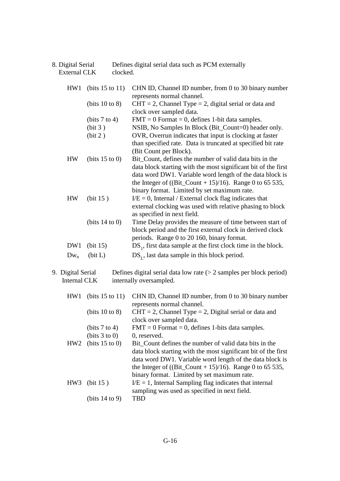| 8. Digital Serial | Defines digital serial data such as PCM externally |
|-------------------|----------------------------------------------------|
| External CLK      | clocked.                                           |

| HW1       | (bits $15$ to $11$ ) | CHN ID, Channel ID number, from 0 to 30 binary number           |
|-----------|----------------------|-----------------------------------------------------------------|
|           |                      | represents normal channel.                                      |
|           | (bits $10$ to 8)     | $CHT = 2$ , Channel Type = 2, digital serial or data and        |
|           |                      | clock over sampled data.                                        |
|           | (bits 7 to 4)        | $FMT = 0$ Format = 0, defines 1-bit data samples.               |
|           | (bit 3)              | NSIB, No Samples In Block (Bit_Count=0) header only.            |
|           | (bit 2)              | OVR, Overrun indicates that input is clocking at faster         |
|           |                      | than specified rate. Data is truncated at specified bit rate    |
|           |                      | (Bit Count per Block).                                          |
| <b>HW</b> | (bits $15$ to 0)     | Bit_Count, defines the number of valid data bits in the         |
|           |                      | data block starting with the most significant bit of the first  |
|           |                      | data word DW1. Variable word length of the data block is        |
|           |                      | the Integer of ((Bit_Count + 15)/16). Range 0 to 65 535,        |
|           |                      | binary format. Limited by set maximum rate.                     |
| <b>HW</b> | (bit 15)             | $I/E = 0$ , Internal / External clock flag indicates that       |
|           |                      | external clocking was used with relative phasing to block       |
|           |                      | as specified in next field.                                     |
|           | (bits $14$ to 0)     | Time Delay provides the measure of time between start of        |
|           |                      | block period and the first external clock in derived clock      |
|           |                      | periods. Range 0 to 20 160, binary format.                      |
| DW1       | (bit 15)             | $DS1$ , first data sample at the first clock time in the block. |
| $Dw_n$    | (bit L)              | $DS_{I}$ , last data sample in this block period.               |
|           |                      |                                                                 |

9. Digital Serial Defines digital serial data low rate (> 2 samples per block period)<br>Internal CLK internally oversampled. internally oversampled.

| HW1             | (bits $15$ to $11$ ) | CHN ID, Channel ID number, from 0 to 30 binary number          |
|-----------------|----------------------|----------------------------------------------------------------|
|                 |                      | represents normal channel.                                     |
|                 | (bits 10 to 8)       | $CHT = 2$ , Channel Type = 2, Digital serial or data and       |
|                 |                      | clock over sampled data.                                       |
|                 | (bits $7$ to $4$ )   | $FMT = 0$ Format = 0, defines 1-bits data samples.             |
|                 | (bits 3 to 0)        | 0, reserved.                                                   |
|                 | $HW2$ (bits 15 to 0) | Bit_Count defines the number of valid data bits in the         |
|                 |                      | data block starting with the most significant bit of the first |
|                 |                      | data word DW1. Variable word length of the data block is       |
|                 |                      | the Integer of ((Bit_Count + 15)/16). Range 0 to 65 535,       |
|                 |                      | binary format. Limited by set maximum rate.                    |
| HW <sub>3</sub> | (bit 15)             | $I/E = 1$ , Internal Sampling flag indicates that internal     |
|                 |                      | sampling was used as specified in next field.                  |
|                 | (bits $14$ to 9)     | TBD                                                            |
|                 |                      |                                                                |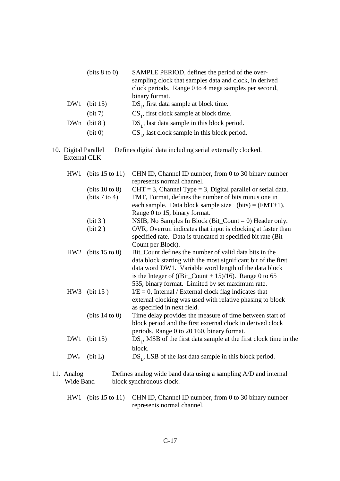|     | (bits 8 to 0)  | SAMPLE PERIOD, defines the period of the over-         |
|-----|----------------|--------------------------------------------------------|
|     |                | sampling clock that samples data and clock, in derived |
|     |                | clock periods. Range 0 to 4 mega samples per second,   |
|     |                | binary format.                                         |
|     | $DW1$ (bit 15) | DS <sub>1</sub> , first data sample at block time.     |
|     | (bit 7)        | CS <sub>1</sub> , first clock sample at block time.    |
| DWn | (bit 8)        | $DS_{r}$ , last data sample in this block period.      |
|     | (bit 0)        | $CSr$ , last clock sample in this block period.        |
|     |                |                                                        |

10. Digital Parallel Defines digital data including serial externally clocked. External CLK

| HW1               | (bits $15$ to $11$ ) | CHN ID, Channel ID number, from 0 to 30 binary number                        |
|-------------------|----------------------|------------------------------------------------------------------------------|
|                   |                      | represents normal channel.                                                   |
|                   | (bits 10 to 8)       | $CHT = 3$ , Channel Type = 3, Digital parallel or serial data.               |
|                   | (bits 7 to 4)        | FMT, Format, defines the number of bits minus one in                         |
|                   |                      | each sample. Data block sample size (bits) = $(FMT+1)$ .                     |
|                   |                      | Range 0 to 15, binary format.                                                |
|                   | (bit 3)              | NSIB, No Samples In Block (Bit_Count $= 0$ ) Header only.                    |
|                   | (bit 2)              | OVR, Overrun indicates that input is clocking at faster than                 |
|                   |                      | specified rate. Data is truncated at specified bit rate (Bit)                |
|                   |                      | Count per Block).                                                            |
| HW <sub>2</sub>   | (bits $15$ to 0)     | Bit_Count defines the number of valid data bits in the                       |
|                   |                      | data block starting with the most significant bit of the first               |
|                   |                      | data word DW1. Variable word length of the data block                        |
|                   |                      | is the Integer of ((Bit_Count + 15)/16). Range 0 to 65                       |
|                   |                      | 535, binary format. Limited by set maximum rate.                             |
|                   | HW3 (bit 15)         | $I/E = 0$ , Internal / External clock flag indicates that                    |
|                   |                      | external clocking was used with relative phasing to block                    |
|                   |                      | as specified in next field.                                                  |
|                   | (bits $14$ to 0)     | Time delay provides the measure of time between start of                     |
|                   |                      | block period and the first external clock in derived clock                   |
|                   |                      | periods. Range 0 to 20 160, binary format.                                   |
| DW1               | (bit 15)             | $DS1$ , MSB of the first data sample at the first clock time in the          |
|                   |                      |                                                                              |
|                   |                      | block.                                                                       |
| $DW_n$            | (bit L)              | $DSr$ , LSB of the last data sample in this block period.                    |
|                   |                      |                                                                              |
| $11 \Delta$ nalog |                      | Defines angles wide hand data using a sampling $\Lambda/\Gamma$ and internal |

11. Analog Defines analog wide band data using a sampling A/D and internal Wide Band block synchronous clock.

 HW1 (bits 15 to 11) CHN ID, Channel ID number, from 0 to 30 binary number represents normal channel.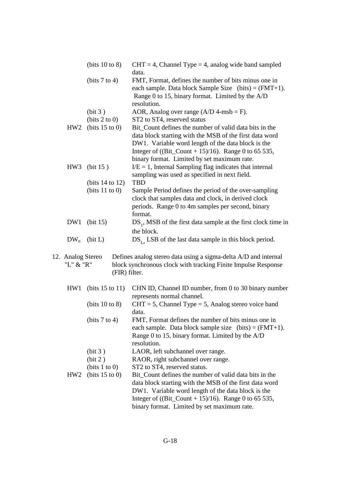|                                | (bits 10 to 8)       | $CHT = 4$ , Channel Type = 4, analog wide band sampled<br>data.                                                                                                                                                                                                                |  |  |  |  |  |
|--------------------------------|----------------------|--------------------------------------------------------------------------------------------------------------------------------------------------------------------------------------------------------------------------------------------------------------------------------|--|--|--|--|--|
|                                | (bits 7 to 4)        | FMT, Format, defines the number of bits minus one in<br>each sample. Data block Sample Size $(bits) = (FMT+1)$ .<br>Range 0 to 15, binary format. Limited by the A/D<br>resolution.                                                                                            |  |  |  |  |  |
|                                | (bit 3)              | AOR, Analog over range $(A/D \, 4\text{-msb} = F)$ .                                                                                                                                                                                                                           |  |  |  |  |  |
|                                | (bits 2 to 0)        | ST2 to ST4, reserved status                                                                                                                                                                                                                                                    |  |  |  |  |  |
| HW <sub>2</sub>                | (bits $15$ to 0)     | Bit Count defines the number of valid data bits in the<br>data block starting with the MSB of the first data word<br>DW1. Variable word length of the data block is the<br>Integer of ((Bit_Count + 15)/16). Range 0 to 65 535,<br>binary format. Limited by set maximum rate. |  |  |  |  |  |
| HW <sub>3</sub>                | (bit 15)             | $I/E = 1$ , Internal Sampling flag indicates that internal<br>sampling was used as specified in next field.                                                                                                                                                                    |  |  |  |  |  |
|                                | (bits $14$ to $12$ ) | <b>TBD</b>                                                                                                                                                                                                                                                                     |  |  |  |  |  |
|                                | (bits $11$ to 0)     | Sample Period defines the period of the over-sampling<br>clock that samples data and clock, in derived clock<br>periods. Range 0 to 4m samples per second, binary<br>format.                                                                                                   |  |  |  |  |  |
| DW1                            | (bit 15)             | $DS1$ , MSB of the first data sample at the first clock time in<br>the block.                                                                                                                                                                                                  |  |  |  |  |  |
| $DW_n$                         | (bit L)              | $DS_{L_2}$ LSB of the last data sample in this block period.                                                                                                                                                                                                                   |  |  |  |  |  |
| 12. Analog Stereo<br>"L" & "R" |                      | Defines analog stereo data using a sigma-delta A/D and internal<br>block synchronous clock with tracking Finite Impulse Response<br>(FIR) filter.                                                                                                                              |  |  |  |  |  |
| HW1                            | (bits $15$ to $11$ ) | CHN ID, Channel ID number, from 0 to 30 binary number<br>represents normal channel.                                                                                                                                                                                            |  |  |  |  |  |
|                                | (bits $10$ to 8)     | $CHT = 5$ , Channel Type = 5, Analog stereo voice band<br>data.                                                                                                                                                                                                                |  |  |  |  |  |
|                                | (bits $7$ to $4$ )   | FMT, Format defines the number of bits minus one in<br>each sample. Data block sample size (bits) = $(FMT+1)$ .<br>Range 0 to 15, binary format. Limited by the A/D<br>resolution.                                                                                             |  |  |  |  |  |
|                                | (bit 3)              | LAOR, left subchannel over range.                                                                                                                                                                                                                                              |  |  |  |  |  |
|                                | (bit 2)              | RAOR, right subchannel over range.                                                                                                                                                                                                                                             |  |  |  |  |  |
|                                | (bits 1 to 0)        | ST2 to ST4, reserved status.                                                                                                                                                                                                                                                   |  |  |  |  |  |
| HW2                            | (bits $15$ to 0)     | Bit Count defines the number of valid data bits in the<br>data block starting with the MSB of the first data word<br>DW1. Variable word length of the data block is the<br>Integer of ((Bit_Count + 15)/16). Range 0 to 65 535,<br>binary format. Limited by set maximum rate. |  |  |  |  |  |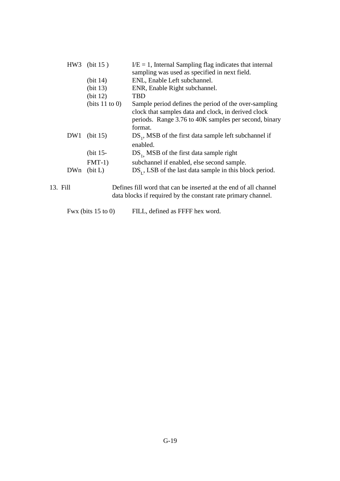|          | HW3 (bit $15$ )      | $I/E = 1$ , Internal Sampling flag indicates that internal       |
|----------|----------------------|------------------------------------------------------------------|
|          |                      | sampling was used as specified in next field.                    |
|          | (bit 14)             | ENL, Enable Left subchannel.                                     |
|          | (bit 13)             | ENR, Enable Right subchannel.                                    |
|          | (bit 12)             | TBD                                                              |
|          | (bits $11$ to 0)     | Sample period defines the period of the over-sampling            |
|          |                      | clock that samples data and clock, in derived clock              |
|          |                      | periods. Range 3.76 to 40K samples per second, binary            |
|          |                      | format.                                                          |
| DW1      | (bit 15)             | $DS1$ , MSB of the first data sample left subchannel if          |
|          |                      | enabled.                                                         |
|          | (bit $15$ -          | $DS1$ , MSB of the first data sample right                       |
|          | $FMT-1)$             | subchannel if enabled, else second sample.                       |
| DWn      | (bit L)              | $DSr$ , LSB of the last data sample in this block period.        |
| 13. Fill |                      | Defines fill word that can be inserted at the end of all channel |
|          |                      | data blocks if required by the constant rate primary channel.    |
|          | Fwx (bits $15$ to 0) | FILL, defined as FFFF hex word.                                  |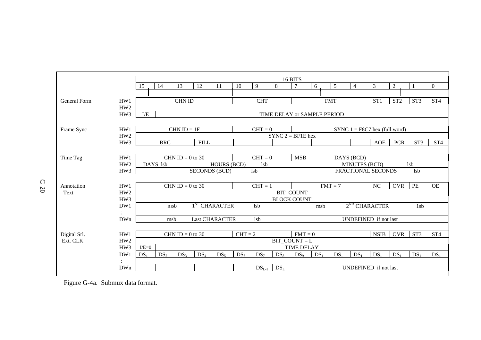

Figure G-4a. Submux data format.

G-20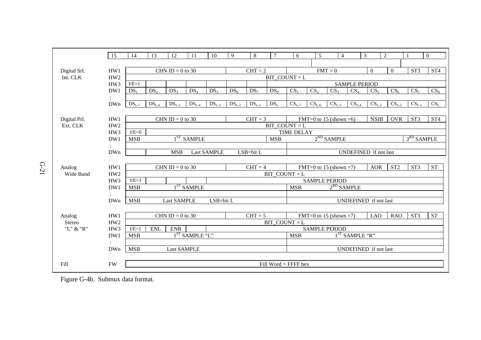|               | 15              | 14              | 13              | 12                 | 11                         | 10                 | 9               | $\,8\,$                                                              | $\overline{7}$               | 6                                        | 5                      | 4               |                 | 3<br>$\overline{2}$ |                  |                 | $\theta$        |
|---------------|-----------------|-----------------|-----------------|--------------------|----------------------------|--------------------|-----------------|----------------------------------------------------------------------|------------------------------|------------------------------------------|------------------------|-----------------|-----------------|---------------------|------------------|-----------------|-----------------|
|               |                 |                 |                 |                    |                            |                    |                 |                                                                      |                              |                                          |                        |                 |                 |                     |                  |                 |                 |
| Digital Srl.  | HW1             |                 |                 | CHN ID = 0 to 30   |                            |                    |                 | $CHT = 2$                                                            |                              |                                          |                        | $FMT = 0$       |                 | $\Omega$            | $\boldsymbol{0}$ | ST <sub>3</sub> | ST <sub>4</sub> |
| Int. CLK      | HW <sub>2</sub> |                 |                 |                    |                            |                    |                 |                                                                      | $BIT$ <sub>_</sub> COUNT = L |                                          |                        |                 |                 |                     |                  |                 |                 |
|               | HW3             | $E=1$           |                 |                    |                            |                    |                 | <b>SAMPLE PERIOD</b>                                                 |                              |                                          |                        |                 |                 |                     |                  |                 |                 |
|               | DW1             | DS <sub>1</sub> | DS <sub>2</sub> | DS <sub>3</sub>    | DS <sub>4</sub>            | DS <sub>5</sub>    | DS <sub>6</sub> | DS <sub>7</sub>                                                      | $DS_8$                       | CS <sub>1</sub>                          | CS <sub>2</sub>        | CS <sub>3</sub> | CS <sub>4</sub> | CS <sub>5</sub>     | $CS_6$           | CS <sub>7</sub> | CS <sub>8</sub> |
|               |                 |                 |                 |                    |                            |                    |                 |                                                                      |                              |                                          |                        |                 |                 |                     |                  |                 |                 |
|               | <b>DWn</b>      | $DSL-7$         | $DSL-6$         | $DSL-5$            | $DSL-4$                    | $DSL-3$            | $DSL-2$         | $DSL-1$                                                              | DS <sub>L</sub>              | $CSL-7$                                  | $CSL-6$                | $CSL-5$         | $CSL-4$         | $CSL-3$             | $CSL-2$          | $CSL-1$         | $CS_L$          |
|               |                 |                 |                 |                    |                            |                    |                 |                                                                      |                              |                                          |                        |                 |                 |                     |                  |                 |                 |
| Digital Prl.  | HW1             |                 |                 | CHN ID = $0$ to 30 |                            |                    |                 | $CHT = 3$                                                            |                              |                                          | FMT=0 to 15 (shown =6) |                 |                 | <b>NSIB</b>         | <b>OVR</b>       | ST <sub>3</sub> | ST <sub>4</sub> |
| Ext. CLK      | HW <sub>2</sub> |                 |                 |                    |                            |                    |                 |                                                                      | $BIT\_COUNT = L$             |                                          |                        |                 |                 |                     |                  |                 |                 |
|               | HW3             | $I/E=0$         |                 |                    |                            |                    |                 |                                                                      |                              | <b>TIME DELAY</b>                        |                        |                 |                 |                     |                  |                 |                 |
|               | DW1             | <b>MSB</b>      |                 | 1 ST               | <b>SAMPLE</b>              |                    |                 |                                                                      | <b>MSB</b>                   |                                          |                        | $2^{ND}$ SAMPLE |                 |                     | $3RD$ SAMPLE     |                 |                 |
|               | $\bullet$       |                 |                 |                    |                            |                    |                 |                                                                      |                              |                                          |                        |                 |                 |                     |                  |                 |                 |
|               | DWn             |                 |                 | <b>MSB</b>         |                            | <b>Last SAMPLE</b> |                 | LSB=bit L                                                            |                              | UNDEFINED if not last                    |                        |                 |                 |                     |                  |                 |                 |
|               |                 |                 |                 |                    |                            |                    |                 |                                                                      |                              |                                          |                        |                 |                 |                     |                  |                 |                 |
| Analog        | HW1             |                 |                 | CHN ID = $0$ to 30 |                            |                    |                 | $CHT = 4$<br>FMT=0 to 15 (shown =7)<br>ST <sub>2</sub><br><b>AOR</b> |                              |                                          |                        |                 |                 | ST <sub>3</sub>     | <b>ST</b>        |                 |                 |
| Wide Band     | HW <sub>2</sub> |                 |                 |                    |                            |                    | $BIT$ COUNT = L |                                                                      |                              |                                          |                        |                 |                 |                     |                  |                 |                 |
|               | HW3             | $I/E=1$         |                 |                    |                            |                    |                 | <b>SAMPLE PERIOD</b><br>$2^{RD}$ SAMPLE<br><b>MSB</b>                |                              |                                          |                        |                 |                 |                     |                  |                 |                 |
|               | DW1             | <b>MSB</b>      |                 |                    | $1ST$ SAMPLE               |                    |                 |                                                                      |                              |                                          |                        |                 |                 |                     |                  |                 |                 |
|               | DWn             | <b>MSB</b>      |                 | <b>Last SAMPLE</b> |                            | LSB=bit L          |                 |                                                                      |                              | UNDEFINED if not last                    |                        |                 |                 |                     |                  |                 |                 |
|               |                 |                 |                 |                    |                            |                    |                 |                                                                      |                              |                                          |                        |                 |                 |                     |                  |                 |                 |
| Analog        | HW1             |                 |                 | CHN ID = $0$ to 30 |                            |                    |                 | $CHT = 5$                                                            |                              |                                          | FMT=0 to 15 (shown =7) |                 |                 | <b>LAO</b>          | <b>RAO</b>       | ST <sub>3</sub> | <b>ST</b>       |
| <b>Stereo</b> | HW <sub>2</sub> |                 |                 |                    |                            |                    |                 |                                                                      | $BIT$ COUNT = L              |                                          |                        |                 |                 |                     |                  |                 |                 |
| "L" $\&$ "R"  | HW3             | $I/E=1$         | <b>ENL</b>      | ${\rm ENR}$        |                            |                    |                 |                                                                      |                              | <b>SAMPLE PERIOD</b>                     |                        |                 |                 |                     |                  |                 |                 |
|               | DW1             | <b>MSB</b>      |                 |                    | 1 <sup>ST</sup> SAMPLE "L" |                    |                 |                                                                      |                              | 1 <sup>ST</sup> SAMPLE "R"<br><b>MSB</b> |                        |                 |                 |                     |                  |                 |                 |
|               |                 |                 |                 |                    |                            |                    |                 |                                                                      |                              |                                          |                        |                 |                 |                     |                  |                 |                 |
|               | DWn             | <b>MSB</b>      |                 | <b>Last SAMPLE</b> |                            |                    |                 |                                                                      |                              | <b>UNDEFINED</b> if not last             |                        |                 |                 |                     |                  |                 |                 |
|               |                 |                 |                 |                    |                            |                    |                 |                                                                      |                              |                                          |                        |                 |                 |                     |                  |                 |                 |
| Fill          | FW              |                 |                 |                    |                            |                    |                 |                                                                      | Fill Word = $F$ FFF hex      |                                          |                        |                 |                 |                     |                  |                 |                 |
|               |                 |                 |                 |                    |                            |                    |                 |                                                                      |                              |                                          |                        |                 |                 |                     |                  |                 |                 |

Figure G-4b. Submux data format.

G-21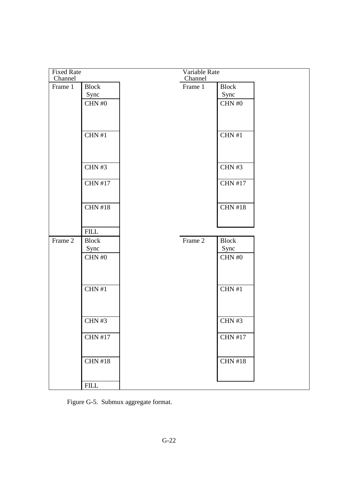| <b>Fixed Rate</b> |                |         | Variable Rate |                |  |
|-------------------|----------------|---------|---------------|----------------|--|
| Channel           |                |         | Channel       |                |  |
| Frame 1           | <b>Block</b>   | Frame 1 |               | <b>Block</b>   |  |
|                   | Sync           |         |               | Sync           |  |
|                   | CHN # $0$      |         |               | CHN $\#0$      |  |
|                   |                |         |               |                |  |
|                   |                |         |               |                |  |
|                   |                |         |               |                |  |
|                   | CHN#1          |         |               | CHN#1          |  |
|                   |                |         |               |                |  |
|                   |                |         |               |                |  |
|                   |                |         |               |                |  |
|                   | <b>CHN#3</b>   |         |               | CHN $#3$       |  |
|                   |                |         |               |                |  |
|                   | <b>CHN #17</b> |         |               | <b>CHN #17</b> |  |
|                   |                |         |               |                |  |
|                   |                |         |               |                |  |
|                   | <b>CHN #18</b> |         |               | <b>CHN #18</b> |  |
|                   |                |         |               |                |  |
|                   |                |         |               |                |  |
|                   | <b>FILL</b>    |         |               |                |  |
| Frame 2           | <b>Block</b>   | Frame 2 |               | <b>Block</b>   |  |
|                   | Sync           |         |               | Sync           |  |
|                   | CHN $\#0$      |         |               | CHN $\#0$      |  |
|                   |                |         |               |                |  |
|                   |                |         |               |                |  |
|                   | CHN#1          |         |               | CHN#1          |  |
|                   |                |         |               |                |  |
|                   |                |         |               |                |  |
|                   |                |         |               |                |  |
|                   | CHN#3          |         |               | CHN #3         |  |
|                   |                |         |               |                |  |
|                   | <b>CHN #17</b> |         |               | <b>CHN #17</b> |  |
|                   |                |         |               |                |  |
|                   |                |         |               |                |  |
|                   | CHN # $18$     |         |               | <b>CHN #18</b> |  |
|                   |                |         |               |                |  |
|                   |                |         |               |                |  |
|                   | <b>FILL</b>    |         |               |                |  |

Figure G-5. Submux aggregate format.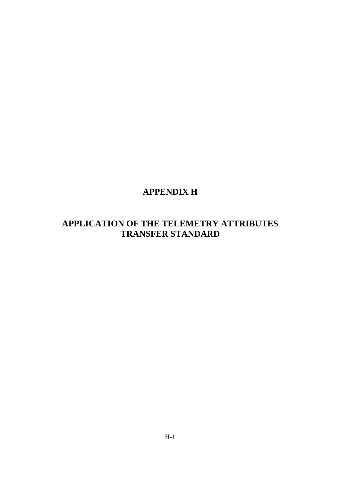# **APPENDIX H**

# **APPLICATION OF THE TELEMETRY ATTRIBUTES TRANSFER STANDARD**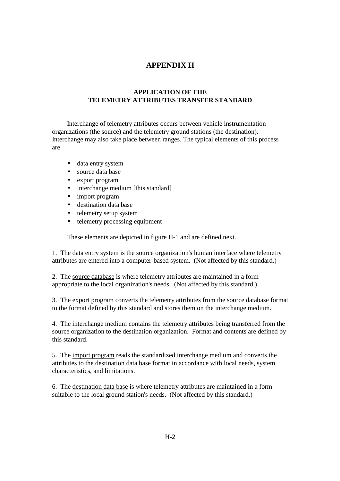## **APPENDIX H**

### **APPLICATION OF THE TELEMETRY ATTRIBUTES TRANSFER STANDARD**

 Interchange of telemetry attributes occurs between vehicle instrumentation organizations (the source) and the telemetry ground stations (the destination). Interchange may also take place between ranges. The typical elements of this process are

- data entry system
- source data base
- export program
- interchange medium [this standard]
- import program
- destination data base
- telemetry setup system
- telemetry processing equipment

These elements are depicted in figure H-1 and are defined next.

1. The data entry system is the source organization's human interface where telemetry attributes are entered into a computer-based system. (Not affected by this standard.)

2. The source database is where telemetry attributes are maintained in a form appropriate to the local organization's needs. (Not affected by this standard.)

3. The export program converts the telemetry attributes from the source database format to the format defined by this standard and stores them on the interchange medium.

4. The interchange medium contains the telemetry attributes being transferred from the source organization to the destination organization. Format and contents are defined by this standard.

5. The import program reads the standardized interchange medium and converts the attributes to the destination data base format in accordance with local needs, system characteristics, and limitations.

6. The destination data base is where telemetry attributes are maintained in a form suitable to the local ground station's needs. (Not affected by this standard.)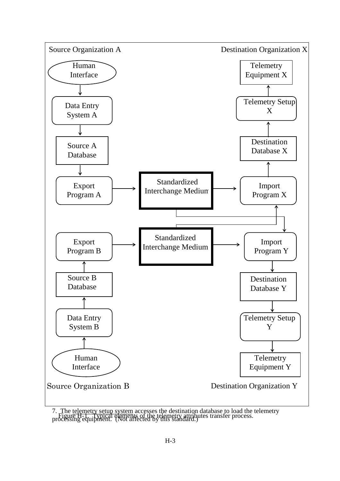

7. The telemetry setup system accesses the destination database to load the telemetry Figure H-1. Typical elements of the telemetry attributes transfer process.<br>processing equipment. (Not affected by this standard.)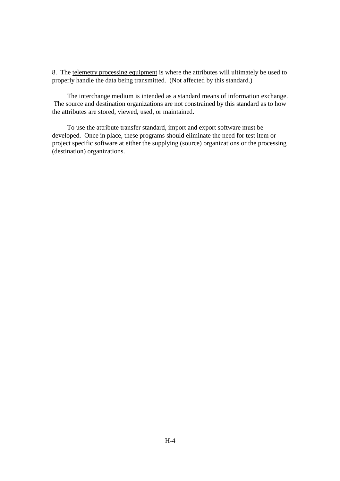8. The telemetry processing equipment is where the attributes will ultimately be used to properly handle the data being transmitted. (Not affected by this standard.)

 The interchange medium is intended as a standard means of information exchange. The source and destination organizations are not constrained by this standard as to how the attributes are stored, viewed, used, or maintained.

 To use the attribute transfer standard, import and export software must be developed. Once in place, these programs should eliminate the need for test item or project specific software at either the supplying (source) organizations or the processing (destination) organizations.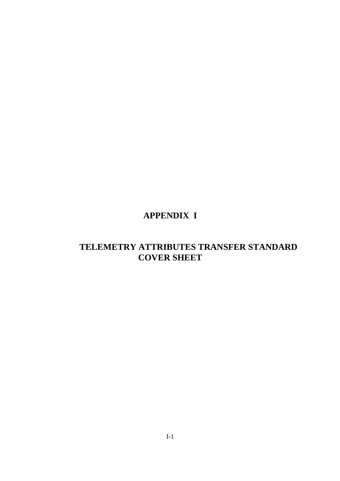# **APPENDIX I**

# **TELEMETRY ATTRIBUTES TRANSFER STANDARD COVER SHEET**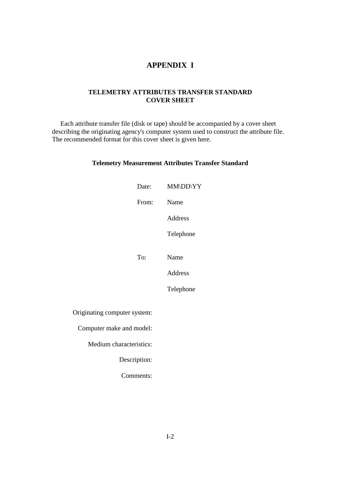### **APPENDIX I**

#### **TELEMETRY ATTRIBUTES TRANSFER STANDARD COVER SHEET**

 Each attribute transfer file (disk or tape) should be accompanied by a cover sheet describing the originating agency's computer system used to construct the attribute file. The recommended format for this cover sheet is given here.

#### **Telemetry Measurement Attributes Transfer Standard**

|                              | Date:        | MM\DD\YY       |
|------------------------------|--------------|----------------|
|                              | From:        | Name           |
|                              |              | <b>Address</b> |
|                              |              | Telephone      |
|                              |              |                |
|                              | To:          | Name           |
|                              |              | Address        |
|                              |              | Telephone      |
| Originating computer system: |              |                |
|                              |              |                |
| Computer make and model:     |              |                |
| Medium characteristics:      |              |                |
|                              | Description: |                |
|                              | Comments:    |                |
|                              |              |                |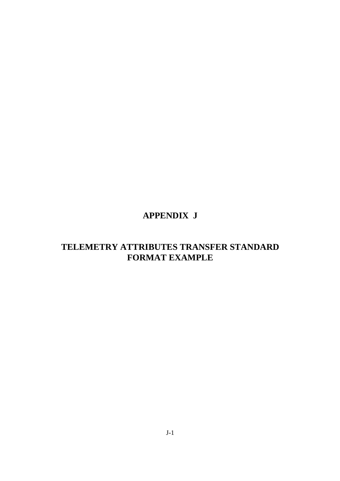# **APPENDIX J**

# **TELEMETRY ATTRIBUTES TRANSFER STANDARD FORMAT EXAMPLE**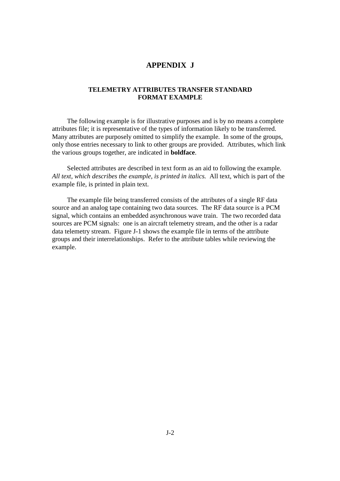### **APPENDIX J**

#### **TELEMETRY ATTRIBUTES TRANSFER STANDARD FORMAT EXAMPLE**

 The following example is for illustrative purposes and is by no means a complete attributes file; it is representative of the types of information likely to be transferred. Many attributes are purposely omitted to simplify the example. In some of the groups, only those entries necessary to link to other groups are provided. Attributes, which link the various groups together, are indicated in **boldface**.

 Selected attributes are described in text form as an aid to following the example. *All text, which describes the example, is printed in italics.* All text, which is part of the example file, is printed in plain text.

 The example file being transferred consists of the attributes of a single RF data source and an analog tape containing two data sources. The RF data source is a PCM signal, which contains an embedded asynchronous wave train. The two recorded data sources are PCM signals: one is an aircraft telemetry stream, and the other is a radar data telemetry stream. Figure J-1 shows the example file in terms of the attribute groups and their interrelationships. Refer to the attribute tables while reviewing the example.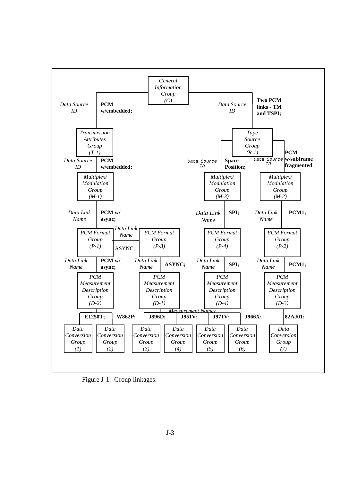

Figure J-1. Group linkages.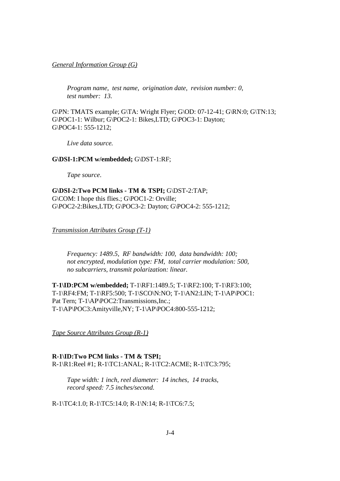*General Information Group (G)*

 *Program name, test name, origination date, revision number: 0, test number: 13.* 

G\PN: TMATS example; G\TA: Wright Flyer; G\OD: 07-12-41; G\RN:0; G\TN:13; G\POC1-1: Wilbur; G\POC2-1: Bikes,LTD; G\POC3-1: Dayton; G\POC4-1: 555-1212;

 *Live data source.* 

#### **G\DSI-1:PCM w/embedded;** G\DST-1:RF;

 *Tape source*.

**G\DSI-2:Two PCM links - TM & TSPI;** G\DST-2:TAP; G\COM: I hope this flies.; G\POC1-2: Orville; G\POC2-2:Bikes,LTD; G\POC3-2: Dayton; G\POC4-2: 555-1212;

*Transmission Attributes Group (T-1)*

 *Frequency: 1489.5, RF bandwidth: 100, data bandwidth: 100; not encrypted, modulation type: FM, total carrier modulation: 500, no subcarriers, transmit polarization: linear.* 

**T-1\ID:PCM w/embedded;** T-1\RF1:1489.5; T-1\RF2:100; T-1\RF3:100; T-1\RF4:FM; T-1\RF5:500; T-1\SCO\N:NO; T-1\AN2:LIN; T-1\AP\POC1: Pat Tern; T-1\AP\POC2:Transmissions,Inc.; T-1\AP\POC3:Amityville,NY; T-1\AP\POC4:800-555-1212;

*Tape Source Attributes Group (R-1)*

**R-1\ID:Two PCM links - TM & TSPI;** R-1\R1:Reel #1; R-1\TC1:ANAL; R-1\TC2:ACME; R-1\TC3:795;

 *Tape width: 1 inch, reel diameter: 14 inches, 14 tracks, record speed: 7.5 inches/second.*

R-1\TC4:1.0; R-1\TC5:14.0; R-1\N:14; R-1\TC6:7.5;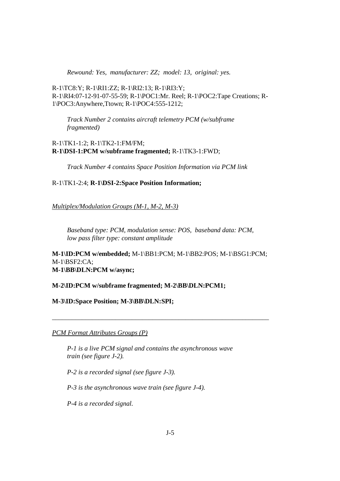*Rewound: Yes, manufacturer: ZZ; model: 13, original: yes.*

R-1\TC8:Y; R-1\RI1:ZZ; R-1\RI2:13; R-1\RI3:Y; R-1\RI4:07-12-91-07-55-59; R-1\POC1:Mr. Reel; R-1\POC2:Tape Creations; R-1\POC3:Anywhere,Ttown; R-1\POC4:555-1212;

 *Track Number 2 contains aircraft telemetry PCM (w/subframe fragmented)*

R-1\TK1-1:2; R-1\TK2-1:FM/FM; **R-1\DSI-1:PCM w/subframe fragmented;** R-1\TK3-1:FWD;

 *Track Number 4 contains Space Position Information via PCM link*

R-1\TK1-2:4; **R-1\DSI-2:Space Position Information;**

*Multiplex/Modulation Groups (M-1, M-2, M-3)*

 *Baseband type: PCM, modulation sense: POS, baseband data: PCM, low pass filter type: constant amplitude* 

**M-1\ID:PCM w/embedded;** M-1\BB1:PCM; M-1\BB2:POS; M-1\BSG1:PCM; M-1\BSF2:CA; **M-1\BB\DLN:PCM w/async;**

\_\_\_\_\_\_\_\_\_\_\_\_\_\_\_\_\_\_\_\_\_\_\_\_\_\_\_\_\_\_\_\_\_\_\_\_\_\_\_\_\_\_\_\_\_\_\_\_\_\_\_\_\_\_\_\_\_\_\_\_\_\_\_\_\_

**M-2\ID:PCM w/subframe fragmented; M-2\BB\DLN:PCM1;**

**M-3\ID:Space Position; M-3\BB\DLN:SPI;**

*PCM Format Attributes Groups (P)*

 *P-1 is a live PCM signal and contains the asynchronous wave train (see figure J-2).* 

 *P-2 is a recorded signal (see figure J-3).* 

 *P-3 is the asynchronous wave train (see figure J-4).* 

 *P-4 is a recorded signal.*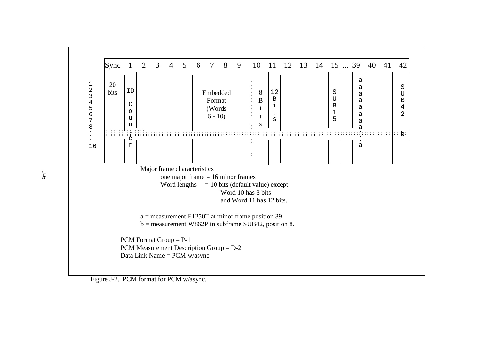

Figure J-2. PCM format for PCM w/async.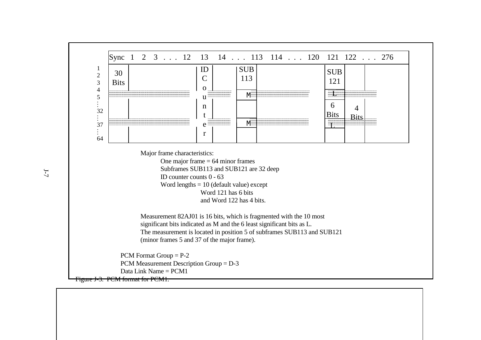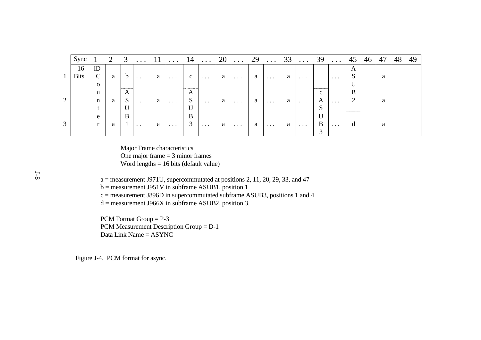|              | Sync        |               | 2 | 3  |                      |   |          | 14                            | $\cdots$ | 20 | $\ddots$ | 29 | $\cdot \cdot \cdot$ | 33 | $\ddots$ | 39 | $\ddotsc$ |   | 46 | 47 | 48 | 49 |
|--------------|-------------|---------------|---|----|----------------------|---|----------|-------------------------------|----------|----|----------|----|---------------------|----|----------|----|-----------|---|----|----|----|----|
|              | 16          | ID            |   |    |                      |   |          |                               |          |    |          |    |                     |    |          |    |           | A |    |    |    |    |
| $\mathbf{1}$ | <b>Bits</b> | $\mathcal{C}$ | a | D  | $\ddot{\phantom{0}}$ | a | $\cdots$ | $\mathbf{c}$                  | $\cdots$ | a  | $\cdots$ | a  | $\cdots$            | a  | $\cdots$ |    | $\cdots$  | S |    | a  |    |    |
|              |             | $\mathbf{O}$  |   |    |                      |   |          |                               |          |    |          |    |                     |    |          |    |           | U |    |    |    |    |
|              |             | u             |   | A  |                      |   |          | A                             |          |    |          |    |                     |    |          | C. |           | B |    |    |    |    |
| 2            |             | $\mathbf n$   | a | D. | $\ddot{\phantom{0}}$ | a | $\cdots$ | $\mathbf{C}$<br>$\mathcal{D}$ | $\cdots$ | a  | $\cdots$ | a  | $\cdots$            | a  | $\cdots$ | A  | $\cdots$  | ി |    | a  |    |    |
|              |             |               |   |    |                      |   |          |                               |          |    |          |    |                     |    |          | D. |           |   |    |    |    |    |
|              |             | e             |   | B  |                      |   |          | B                             |          |    |          |    |                     |    |          | U  |           |   |    |    |    |    |
| 3            |             | $\mathbf{r}$  | a |    | $\ddot{\phantom{0}}$ | a | $\cdots$ | $\mathfrak{I}$                | $\cdots$ | a  | $\cdots$ | a  | $\cdots$            | a  | $\cdots$ | B  | $\cdots$  | d |    | a  |    |    |
|              |             |               |   |    |                      |   |          |                               |          |    |          |    |                     |    |          |    |           |   |    |    |    |    |

 Major Frame characteristics One major frame = 3 minor frames Word lengths = 16 bits (default value)

a = measurement J971U, supercommutated at positions 2, 11, 20, 29, 33, and 47

b = measurement J951V in subframe ASUB1, position 1

c = measurement J896D in supercommutated subframe ASUB3, positions 1 and 4

 $d =$  measurement J966X in subframe ASUB2, position 3.

 PCM Format Group = P-3 PCM Measurement Description Group = D-1 Data Link Name = ASYNC

Figure J-4. PCM format for async.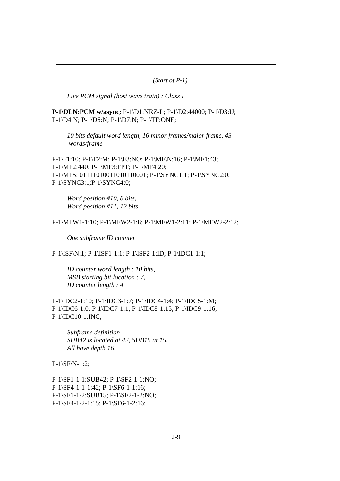*(Start of P-1)* 

 *Live PCM signal (host wave train) : Class I* 

**P-1\DLN:PCM w/async;** P-1\D1:NRZ-L; P-1\D2:44000; P-1\D3:U; P-1\D4:N; P-1\D6:N; P-1\D7:N; P-1\TF:ONE;

 *10 bits default word length, 16 minor frames/major frame, 43 words/frame*

P-1\F1:10; P-1\F2:M; P-1\F3:NO; P-1\MF\N:16; P-1\MF1:43; P-1\MF2:440; P-1\MF3:FPT; P-1\MF4:20; P-1\MF5: 01111010011010110001; P-1\SYNC1:1; P-1\SYNC2:0; P-1\SYNC3:1;P-1\SYNC4:0;

 *Word position #10, 8 bits, Word position #11, 12 bits*

#### P-1\MFW1-1:10; P-1\MFW2-1:8; P-1\MFW1-2:11; P-1\MFW2-2:12;

 *One subframe ID counter*

P-1\ISF\N:1; P-1\ISF1-1:1; P-1\ISF2-1:ID; P-1\IDC1-1:1;

 *ID counter word length : 10 bits, MSB starting bit location : 7, ID counter length : 4*

P-1\IDC2-1:10; P-1\IDC3-1:7; P-1\IDC4-1:4; P-1\IDC5-1:M; P-1\IDC6-1:0; P-1\IDC7-1:1; P-1\IDC8-1:15; P-1\IDC9-1:16; P-1\IDC10-1:INC;

 *Subframe definition SUB42 is located at 42, SUB15 at 15. All have depth 16.*

 $P-1\ST{N-1:2};$ 

P-1\SF1-1-1:SUB42; P-1\SF2-1-1:NO; P-1\SF4-1-1-1:42; P-1\SF6-1-1:16; P-1\SF1-1-2:SUB15; P-1\SF2-1-2:NO; P-1\SF4-1-2-1:15; P-1\SF6-1-2:16;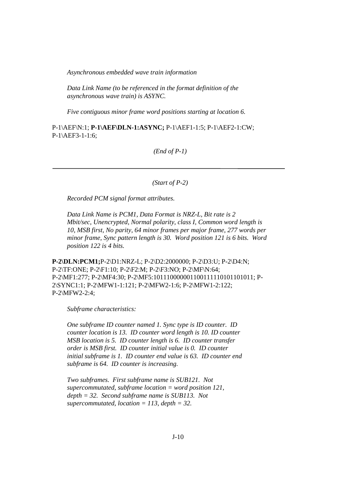*Asynchronous embedded wave train information* 

 *Data Link Name (to be referenced in the format definition of the asynchronous wave train) is ASYNC.* 

 *Five contiguous minor frame word positions starting at location 6.*

P-1\AEF\N:1; **P-1\AEF\DLN-1:ASYNC;** P-1\AEF1-1:5; P-1\AEF2-1:CW; P-1\AEF3-1-1:6;

*(End of P-1)* 

*(Start of P-2)* 

 *Recorded PCM signal format attributes.* 

*Data Link Name is PCM1, Data Format is NRZ-L, Bit rate is 2 Mbit/sec, Unencrypted, Normal polarity, class I, Common word length is 10, MSB first, No parity, 64 minor frames per major frame, 277 words per minor frame, Sync pattern length is 30. Word position 121 is 6 bits. Word position 122 is 4 bits.* 

**P-2\DLN:PCM1;**P-2\D1:NRZ-L; P-2\D2:2000000; P-2\D3:U; P-2\D4:N; P-2\TF:ONE; P-2\F1:10; P-2\F2:M; P-2\F3:NO; P-2\MF\N:64; P-2\MF1:277; P-2\MF4:30; P-2\MF5:101110000001100111110101101011; P-2\SYNC1:1; P-2\MFW1-1:121; P-2\MFW2-1:6; P-2\MFW1-2:122; P-2\MFW2-2:4;

 *Subframe characteristics:* 

 *One subframe ID counter named 1. Sync type is ID counter. ID counter location is 13. ID counter word length is 10. ID counter MSB location is 5. ID counter length is 6. ID counter transfer order is MSB first. ID counter initial value is 0. ID counter initial subframe is 1. ID counter end value is 63. ID counter end subframe is 64. ID counter is increasing.* 

 *Two subframes. First subframe name is SUB121. Not supercommutated, subframe location = word position 121, depth = 32. Second subframe name is SUB113. Not supercommutated, location = 113, depth = 32.*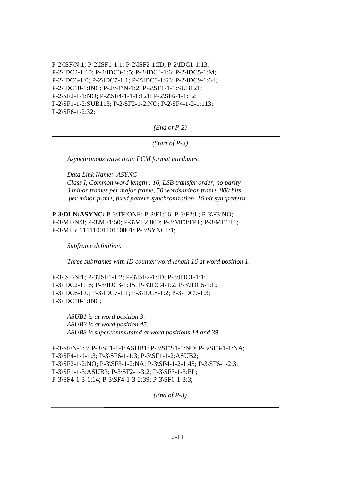P-2\ISF\N:1; P-2\ISF1-1:1; P-2\ISF2-1:ID; P-2\IDC1-1:13; P-2\IDC2-1:10; P-2\IDC3-1:5; P-2\IDC4-1:6; P-2\IDC5-1:M; P-2\IDC6-1:0; P-2\IDC7-1:1; P-2\IDC8-1:63; P-2\IDC9-1:64; P-2\IDC10-1:INC; P-2\SF\N-1:2; P-2\SF1-1-1:SUB121; P-2\SF2-1-1:NO; P-2\SF4-1-1-1:121; P-2\SF6-1-1:32; P-2\SF1-1-2:SUB113; P-2\SF2-1-2:NO; P-2\SF4-1-2-1:113; P-2\SF6-1-2:32;

*(End of P-2)* 

*(Start of P-3)* 

 *Asynchronous wave train PCM format attributes.* 

 *Data Link Name: ASYNC Class I, Common word length : 16, LSB transfer order, no parity 3 minor frames per major frame, 50 words/minor frame, 800 bits per minor frame, fixed pattern synchronization, 16 bit syncpattern.* 

**P-3\DLN:ASYNC;** P-3\TF:ONE; P-3\F1:16; P-3\F2:L; P-3\F3:NO; P-3\MF\N:3; P-3\MF1:50; P-3\MF2:800; P-3\MF3:FPT; P-3\MF4:16; P-3\MF5: 1111100110110001; P-3\SYNC1:1;

 *Subframe definition.* 

 *Three subframes with ID counter word length 16 at word position 1.*

P-3\ISF\N:1; P-3\ISF1-1:2; P-3\ISF2-1:ID; P-3\IDC1-1:1; P-3\IDC2-1:16; P-3\IDC3-1:15; P-3\IDC4-1:2; P-3\IDC5-1:L; P-3\IDC6-1:0; P-3\IDC7-1:1; P-3\IDC8-1:2; P-3\IDC9-1:3; P-3\IDC10-1:INC;

 *ASUB1 is at word position 3. ASUB2 is at word position 45. ASUB3 is supercommutated at word positions 14 and 39.*

P-3\SF\N-1:3; P-3\SF1-1-1:ASUB1; P-3\SF2-1-1:NO; P-3\SF3-1-1:NA; P-3\SF4-1-1-1:3; P-3\SF6-1-1:3; P-3\SF1-1-2:ASUB2; P-3\SF2-1-2:NO; P-3\SF3-1-2:NA; P-3\SF4-1-2-1:45; P-3\SF6-1-2:3; P-3\SF1-1-3:ASUB3; P-3\SF2-1-3:2; P-3\SF3-1-3:EL; P-3\SF4-1-3-1:14; P-3\SF4-1-3-2:39; P-3\SF6-1-3:3;

*(End of P-3)*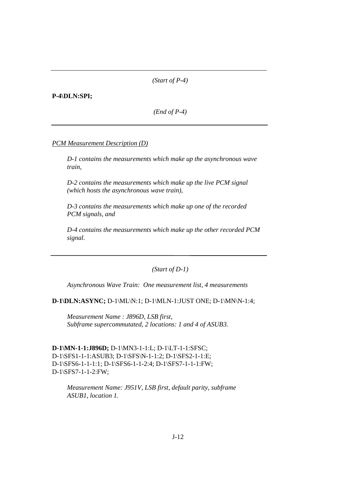*(Start of P-4)* 

#### **P-4\DLN:SPI;**

*(End of P-4)* 

#### *PCM Measurement Description (D)*

 *D-1 contains the measurements which make up the asynchronous wave train,* 

 *D-2 contains the measurements which make up the live PCM signal (which hosts the asynchronous wave train),* 

 *D-3 contains the measurements which make up one of the recorded PCM signals, and* 

 *D-4 contains the measurements which make up the other recorded PCM signal.* 

*(Start of D-1)* 

 *Asynchronous Wave Train: One measurement list, 4 measurements* 

**D-1\DLN:ASYNC;** D-1\ML\N:1; D-1\MLN-1:JUST ONE; D-1\MN\N-1:4;

 *Measurement Name : J896D, LSB first, Subframe supercommutated, 2 locations: 1 and 4 of ASUB3.*

**D-1\MN-1-1:J896D;** D-1\MN3-1-1:L; D-1\LT-1-1:SFSC; D-1\SFS1-1-1:ASUB3; D-1\SFS\N-1-1:2; D-1\SFS2-1-1:E; D-1\SFS6-1-1-1:1; D-1\SFS6-1-1-2:4; D-1\SFS7-1-1-1:FW; D-1\SFS7-1-1-2:FW;

 *Measurement Name: J951V, LSB first, default parity, subframe ASUB1, location 1.*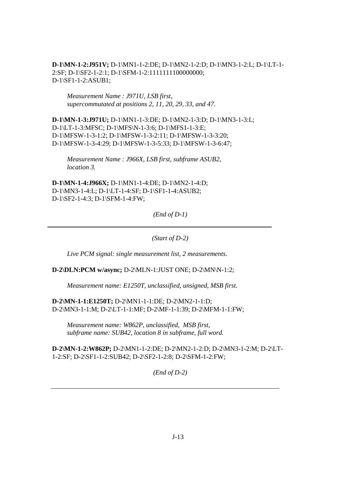**D-1\MN-1-2:J951V;** D-1\MN1-1-2:DE; D-1\MN2-1-2:D; D-1\MN3-1-2:L; D-1\LT-1- 2:SF; D-1\SF2-1-2:1; D-1\SFM-1-2:1111111100000000; D-1\SF1-1-2:ASUB1;

 *Measurement Name : J971U, LSB first, supercommutated at positions 2, 11, 20, 29, 33, and 47.* 

**D-1\MN-1-3:J971U;** D-1\MN1-1-3:DE; D-1\MN2-1-3:D; D-1\MN3-1-3:L; D-1\LT-1-3:MFSC; D-1\MFS\N-1-3:6; D-1\MFS1-1-3:E; D-1\MFSW-1-3-1:2; D-1\MFSW-1-3-2:11; D-1\MFSW-1-3-3:20; D-1\MFSW-1-3-4:29; D-1\MFSW-1-3-5:33; D-1\MFSW-1-3-6:47;

 *Measurement Name : J966X, LSB first, subframe ASUB2, location 3.*

**D-1\MN-1-4:J966X;** D-1\MN1-1-4:DE; D-1\MN2-1-4:D; D-1\MN3-1-4:L; D-1\LT-1-4:SF; D-1\SF1-1-4:ASUB2; D-1\SF2-1-4:3; D-1\SFM-1-4:FW;

*(End of D-1)* 

*(Start of D-2)* 

 *Live PCM signal: single measurement list, 2 measurements.*

**D-2\DLN:PCM w/async;** D-2\MLN-1:JUST ONE; D-2\MN\N-1:2;

 *Measurement name: E1250T, unclassified, unsigned, MSB first.*

**D-2\MN-1-1:E1250T;** D-2\MN1-1-1:DE; D-2\MN2-1-1:D; D-2\MN3-1-1:M; D-2\LT-1-1:MF; D-2\MF-1-1:39; D-2\MFM-1-1:FW;

 *Measurement name: W862P, unclassified, MSB first, subframe name: SUB42, location 8 in subframe, full word.* 

**D-2\MN-1-2:W862P;** D-2\MN1-1-2:DE; D-2\MN2-1-2:D; D-2\MN3-1-2:M; D-2\LT-1-2:SF; D-2\SF1-1-2:SUB42; D-2\SF2-1-2:8; D-2\SFM-1-2:FW;

*(End of D-2)*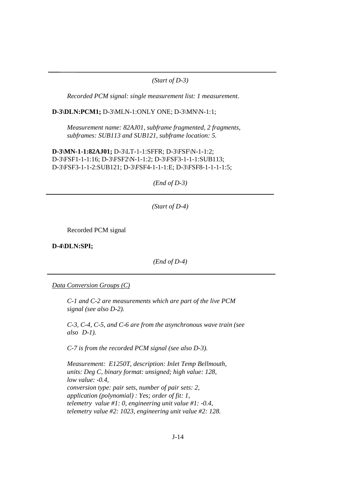#### *(Start of D-3)*

 *Recorded PCM signal: single measurement list: 1 measurement.*

**D-3\DLN:PCM1;** D-3\MLN-1:ONLY ONE; D-3\MN\N-1:1;

 *Measurement name: 82AJ01, subframe fragmented, 2 fragments, subframes: SUB113 and SUB121, subframe location: 5.*

**D-3\MN-1-1:82AJ01;** D-3\LT-1-1:SFFR; D-3\FSF\N-1-1:2; D-3\FSF1-1-1:16; D-3\FSF2\N-1-1:2; D-3\FSF3-1-1-1:SUB113; D-3\FSF3-1-1-2:SUB121; D-3\FSF4-1-1-1:E; D-3\FSF8-1-1-1-1:5;

*(End of D-3)* 

*(Start of D-4)* 

Recorded PCM signal

**D-4\DLN:SPI;** 

*(End of D-4)* 

*Data Conversion Groups (C)*

 *C-1 and C-2 are measurements which are part of the live PCM signal (see also D-2).* 

 *C-3, C-4, C-5, and C-6 are from the asynchronous wave train (see also D-1).* 

 *C-7 is from the recorded PCM signal (see also D-3).* 

 *Measurement: E1250T, description: Inlet Temp Bellmouth, units: Deg C, binary format: unsigned; high value: 128, low value: -0.4, conversion type: pair sets, number of pair sets: 2, application (polynomial) : Yes; order of fit: 1, telemetry value #1: 0, engineering unit value #1: -0.4, telemetry value #2: 1023, engineering unit value #2: 128.*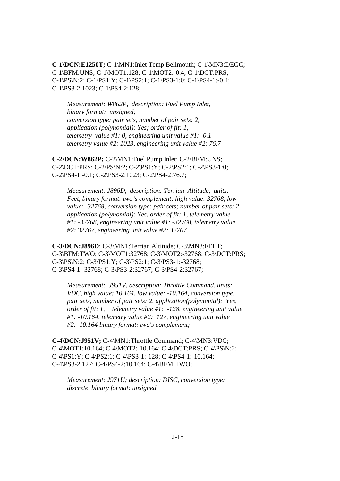**C-1\DCN:E1250T;** C-1\MN1:Inlet Temp Bellmouth; C-1\MN3:DEGC; C-1\BFM:UNS; C-1\MOT1:128; C-1\MOT2:-0.4; C-1\DCT:PRS; C-1\PS\N:2; C-1\PS1:Y; C-1\PS2:1; C-1\PS3-1:0; C-1\PS4-1:-0.4; C-1\PS3-2:1023; C-1\PS4-2:128;

 *Measurement: W862P, description: Fuel Pump Inlet, binary format: unsigned; conversion type: pair sets, number of pair sets: 2, application (polynomial): Yes; order of fit: 1, telemetry value #1: 0, engineering unit value #1: -0.1 telemetry value #2: 1023, engineering unit value #2: 76.7* 

**C-2\DCN:W862P;** C-2\MN1:Fuel Pump Inlet; C-2\BFM:UNS; C-2\DCT:PRS; C-2\PS\N:2; C-2\PS1:Y; C-2\PS2:1; C-2\PS3-1:0; C-2\PS4-1:-0.1; C-2\PS3-2:1023; C-2\PS4-2:76.7;

 *Measurement: J896D, description: Terrian Altitude, units: Feet, binary format: two's complement; high value: 32768, low value: -32768, conversion type: pair sets; number of pair sets: 2, application (polynomial): Yes, order of fit: 1, telemetry value #1: -32768, engineering unit value #1: -32768, telemetry value #2: 32767, engineering unit value #2: 32767*

**C-3\DCN:J896D**; C-3\MN1:Terrian Altitude; C-3\MN3:FEET; C-3\BFM:TWO; C-3\MOT1:32768; C-3\MOT2:-32768; C-3\DCT:PRS; C-3\PS\N:2; C-3\PS1:Y; C-3\PS2:1; C-3\PS3-1:-32768; C-3\PS4-1:-32768; C-3\PS3-2:32767; C-3\PS4-2:32767;

 *Measurement: J951V, description: Throttle Command, units: VDC, high value: 10.164, low value: -10.164, conversion type: pair sets, number of pair sets: 2, application(polynomial): Yes, order of fit: 1, telemetry value #1: -128, engineering unit value #1: -10.164, telemetry value #2: 127, engineering unit value #2: 10.164 binary format: two's complement;*

**C-4\DCN:J951V;** C-4\MN1:Throttle Command; C-4\MN3:VDC; C-4\MOT1:10.164; C-4\MOT2:-10.164; C-4\DCT:PRS; C-4\PS\N:2; C-4\PS1:Y; C-4\PS2:1; C-4\PS3-1:-128; C-4\PS4-1:-10.164; C-4\PS3-2:127; C-4\PS4-2:10.164; C-4\BFM:TWO;

 *Measurement: J971U; description: DISC, conversion type: discrete, binary format: unsigned.*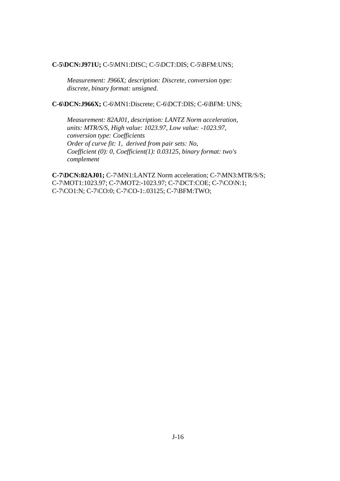#### **C-5\DCN:J971U;** C-5\MN1:DISC; C-5\DCT:DIS; C-5\BFM:UNS;

 *Measurement: J966X; description: Discrete, conversion type: discrete, binary format: unsigned.* 

**C-6\DCN:J966X;** C-6\MN1:Discrete; C-6\DCT:DIS; C-6\BFM: UNS;

 *Measurement: 82AJ01, description: LANTZ Norm acceleration, units: MTR/S/S, High value: 1023.97, Low value: -1023.97, conversion type: Coefficients Order of curve fit: 1, derived from pair sets: No, Coefficient (0): 0, Coefficient(1): 0.03125, binary format: two's complement*

**C-7\DCN:82AJ01;** C-7\MN1:LANTZ Norm acceleration; C-7\MN3:MTR/S/S; C-7\MOT1:1023.97; C-7\MOT2:-1023.97; C-7\DCT:COE; C-7\CO\N:1; C-7\CO1:N; C-7\CO:0; C-7\CO-1:.03125; C-7\BFM:TWO;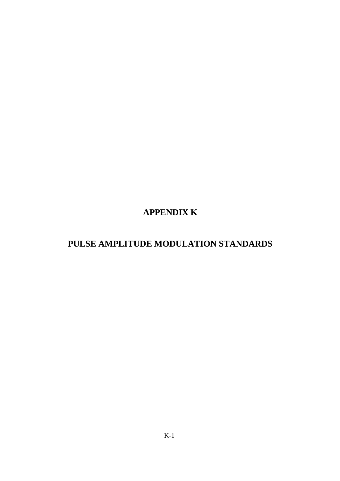# **APPENDIX K**

# **PULSE AMPLITUDE MODULATION STANDARDS**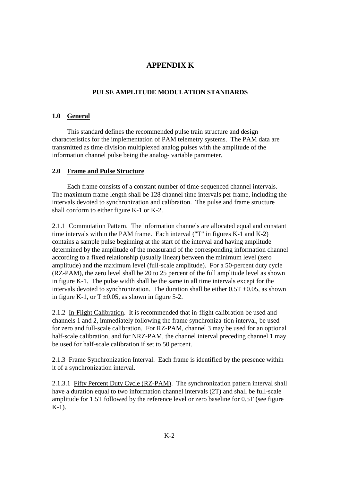### **APPENDIX K**

### **PULSE AMPLITUDE MODULATION STANDARDS**

### **1.0 General**

 This standard defines the recommended pulse train structure and design characteristics for the implementation of PAM telemetry systems. The PAM data are transmitted as time division multiplexed analog pulses with the amplitude of the information channel pulse being the analog- variable parameter.

#### **2.0 Frame and Pulse Structure**

 Each frame consists of a constant number of time-sequenced channel intervals. The maximum frame length shall be 128 channel time intervals per frame, including the intervals devoted to synchronization and calibration. The pulse and frame structure shall conform to either figure K-1 or K-2.

2.1.1 Commutation Pattern. The information channels are allocated equal and constant time intervals within the PAM frame. Each interval ("T" in figures K-1 and K-2) contains a sample pulse beginning at the start of the interval and having amplitude determined by the amplitude of the measurand of the corresponding information channel according to a fixed relationship (usually linear) between the minimum level (zero amplitude) and the maximum level (full-scale amplitude). For a 50-percent duty cycle (RZ-PAM), the zero level shall be 20 to 25 percent of the full amplitude level as shown in figure K-1. The pulse width shall be the same in all time intervals except for the intervals devoted to synchronization. The duration shall be either  $0.5T \pm 0.05$ , as shown in figure K-1, or T  $\pm 0.05$ , as shown in figure 5-2.

2.1.2 In-Flight Calibration. It is recommended that in-flight calibration be used and channels 1 and 2, immediately following the frame synchroniza-tion interval, be used for zero and full-scale calibration. For RZ-PAM, channel 3 may be used for an optional half-scale calibration, and for NRZ-PAM, the channel interval preceding channel 1 may be used for half-scale calibration if set to 50 percent.

2.1.3 Frame Synchronization Interval. Each frame is identified by the presence within it of a synchronization interval.

2.1.3.1 Fifty Percent Duty Cycle (RZ-PAM). The synchronization pattern interval shall have a duration equal to two information channel intervals (2T) and shall be full-scale amplitude for 1.5T followed by the reference level or zero baseline for 0.5T (see figure K-1).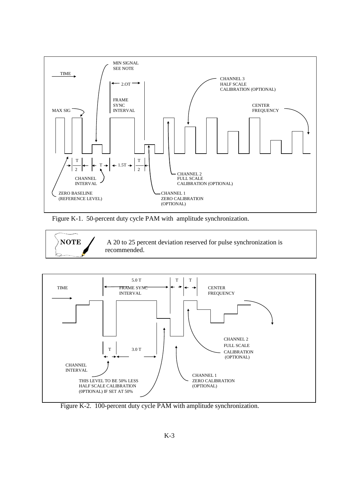

Figure K-1. 50-percent duty cycle PAM with amplitude synchronization.





Figure K-2. 100-percent duty cycle PAM with amplitude synchronization.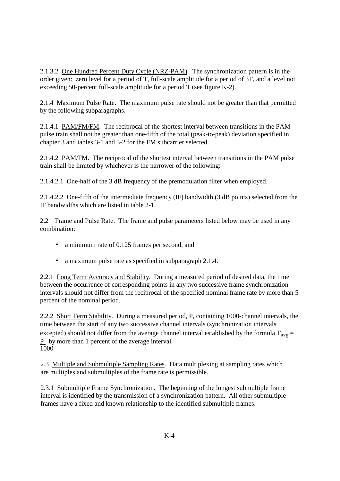2.1.3.2 One Hundred Percent Duty Cycle (NRZ-PAM). The synchronization pattern is in the order given: zero level for a period of T, full-scale amplitude for a period of 3T, and a level not exceeding 50-percent full-scale amplitude for a period T (see figure K-2).

2.1.4 Maximum Pulse Rate. The maximum pulse rate should not be greater than that permitted by the following subparagraphs.

2.1.4.1 PAM/FM/FM. The reciprocal of the shortest interval between transitions in the PAM pulse train shall not be greater than one-fifth of the total (peak-to-peak) deviation specified in chapter 3 and tables 3-1 and 3-2 for the FM subcarrier selected.

2.1.4.2 PAM/FM. The reciprocal of the shortest interval between transitions in the PAM pulse train shall be limited by whichever is the narrower of the following:

2.1.4.2.1 One-half of the 3 dB frequency of the premodulation filter when employed.

2.1.4.2.2 One-fifth of the intermediate frequency (IF) bandwidth (3 dB points) selected from the IF bandwidths which are listed in table 2-1.

2.2 Frame and Pulse Rate. The frame and pulse parameters listed below may be used in any combination:

- a minimum rate of 0.125 frames per second, and
- a maximum pulse rate as specified in subparagraph 2.1.4.

2.2.1 Long Term Accuracy and Stability. During a measured period of desired data, the time between the occurrence of corresponding points in any two successive frame synchronization intervals should not differ from the reciprocal of the specified nominal frame rate by more than 5 percent of the nominal period.

2.2.2 Short Term Stability. During a measured period, P, containing 1000-channel intervals, the time between the start of any two successive channel intervals (synchronization intervals excepted) should not differ from the average channel interval established by the formula  $T_{avg} =$ P by more than 1 percent of the average interval 1000

2.3 Multiple and Submultiple Sampling Rates. Data multiplexing at sampling rates which are multiples and submultiples of the frame rate is permissible.

2.3.1 Submultiple Frame Synchronization. The beginning of the longest submultiple frame interval is identified by the transmission of a synchronization pattern. All other submultiple frames have a fixed and known relationship to the identified submultiple frames.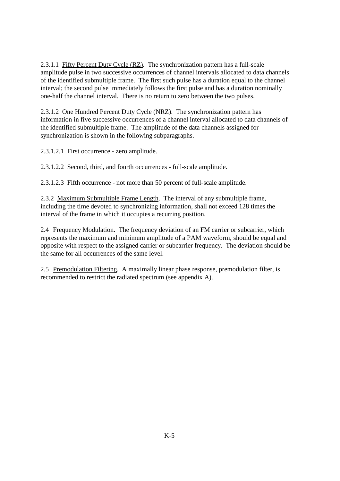2.3.1.1 Fifty Percent Duty Cycle (RZ). The synchronization pattern has a full-scale amplitude pulse in two successive occurrences of channel intervals allocated to data channels of the identified submultiple frame. The first such pulse has a duration equal to the channel interval; the second pulse immediately follows the first pulse and has a duration nominally one-half the channel interval. There is no return to zero between the two pulses.

2.3.1.2 One Hundred Percent Duty Cycle (NRZ). The synchronization pattern has information in five successive occurrences of a channel interval allocated to data channels of the identified submultiple frame. The amplitude of the data channels assigned for synchronization is shown in the following subparagraphs.

2.3.1.2.1 First occurrence - zero amplitude.

2.3.1.2.2 Second, third, and fourth occurrences - full-scale amplitude.

2.3.1.2.3 Fifth occurrence - not more than 50 percent of full-scale amplitude.

2.3.2 Maximum Submultiple Frame Length. The interval of any submultiple frame, including the time devoted to synchronizing information, shall not exceed 128 times the interval of the frame in which it occupies a recurring position.

2.4 Frequency Modulation. The frequency deviation of an FM carrier or subcarrier, which represents the maximum and minimum amplitude of a PAM waveform, should be equal and opposite with respect to the assigned carrier or subcarrier frequency. The deviation should be the same for all occurrences of the same level.

2.5 Premodulation Filtering. A maximally linear phase response, premodulation filter, is recommended to restrict the radiated spectrum (see appendix A).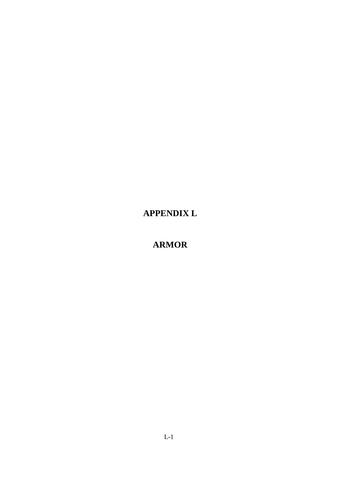**APPENDIX L** 

**ARMOR**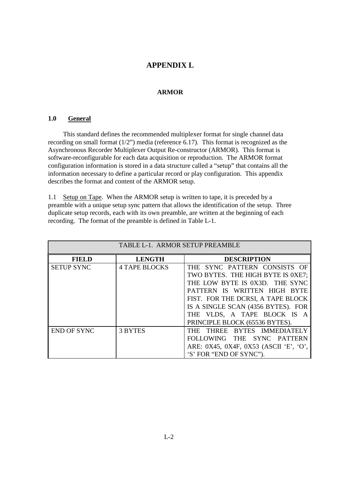### **APPENDIX L**

### **ARMOR**

#### **1.0 General**

 This standard defines the recommended multiplexer format for single channel data recording on small format (1/2") media (reference 6.17). This format is recognized as the Asynchronous Recorder Multiplexer Output Re-constructor (ARMOR). This format is software-reconfigurable for each data acquisition or reproduction. The ARMOR format configuration information is stored in a data structure called a "setup" that contains all the information necessary to define a particular record or play configuration. This appendix describes the format and content of the ARMOR setup.

1.1 Setup on Tape. When the ARMOR setup is written to tape, it is preceded by a preamble with a unique setup sync pattern that allows the identification of the setup. Three duplicate setup records, each with its own preamble, are written at the beginning of each recording. The format of the preamble is defined in Table L-1.

| TABLE L-1. ARMOR SETUP PREAMBLE |                      |                                                                                                                                                                                                                                             |  |  |  |  |  |  |
|---------------------------------|----------------------|---------------------------------------------------------------------------------------------------------------------------------------------------------------------------------------------------------------------------------------------|--|--|--|--|--|--|
| <b>FIELD</b>                    | <b>LENGTH</b>        | <b>DESCRIPTION</b>                                                                                                                                                                                                                          |  |  |  |  |  |  |
| <b>SETUP SYNC</b>               | <b>4 TAPE BLOCKS</b> | THE SYNC PATTERN CONSISTS OF<br>TWO BYTES. THE HIGH BYTE IS 0XE7;<br>THE LOW BYTE IS 0X3D. THE SYNC<br>PATTERN IS WRITTEN HIGH BYTE<br>FIST. FOR THE DCRSI, A TAPE BLOCK<br>IS A SINGLE SCAN (4356 BYTES). FOR<br>THE VLDS, A TAPE BLOCK IS |  |  |  |  |  |  |
| <b>END OF SYNC</b>              | 3 BYTES              | PRINCIPLE BLOCK (65536 BYTES).<br>THREE BYTES IMMEDIATELY<br>THE<br>SYNC PATTERN<br><b>FOLLOWING</b><br><b>THE</b><br>ARE: 0X45, 0X4F, 0X53 (ASCII 'E', 'O',<br>'S' FOR "END OF SYNC").                                                     |  |  |  |  |  |  |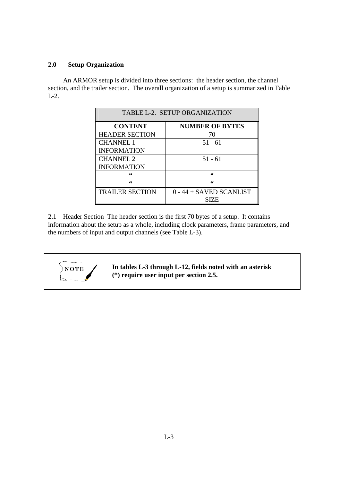### **2.0 Setup Organization**

 An ARMOR setup is divided into three sections: the header section, the channel section, and the trailer section. The overall organization of a setup is summarized in Table L-2.

| TABLE L-2. SETUP ORGANIZATION |                           |  |  |  |  |  |
|-------------------------------|---------------------------|--|--|--|--|--|
| <b>CONTENT</b>                | <b>NUMBER OF BYTES</b>    |  |  |  |  |  |
| <b>HEADER SECTION</b>         | 70                        |  |  |  |  |  |
| <b>CHANNEL 1</b>              | $51 - 61$                 |  |  |  |  |  |
| <b>INFORMATION</b>            |                           |  |  |  |  |  |
| <b>CHANNEL 2</b>              | $51 - 61$                 |  |  |  |  |  |
| <b>INFORMATION</b>            |                           |  |  |  |  |  |
| "                             | 66                        |  |  |  |  |  |
| 66                            | 66                        |  |  |  |  |  |
| <b>TRAILER SECTION</b>        | $0 - 44 +$ SAVED SCANLIST |  |  |  |  |  |
|                               | SIZE                      |  |  |  |  |  |

2.1 Header Section The header section is the first 70 bytes of a setup. It contains information about the setup as a whole, including clock parameters, frame parameters, and the numbers of input and output channels (see Table L-3).



**NOTE** / In tables L-3 through L-12, fields noted with an asterisk **(\*) require user input per section 2.5.**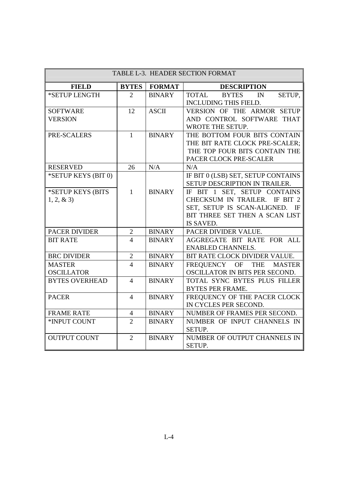| TABLE L-3. HEADER SECTION FORMAT   |                        |               |                                                                                                                                                   |  |  |  |  |
|------------------------------------|------------------------|---------------|---------------------------------------------------------------------------------------------------------------------------------------------------|--|--|--|--|
| <b>FIELD</b>                       | <b>BYTES</b>           | <b>FORMAT</b> | <b>DESCRIPTION</b>                                                                                                                                |  |  |  |  |
| *SETUP LENGTH                      | 2                      | <b>BINARY</b> | SETUP,<br><b>TOTAL</b><br><b>BYTES</b><br>$\mathbb{N}$<br>INCLUDING THIS FIELD.                                                                   |  |  |  |  |
| <b>SOFTWARE</b><br><b>VERSION</b>  | 12                     | <b>ASCII</b>  | VERSION OF THE ARMOR SETUP<br>AND CONTROL SOFTWARE THAT<br>WROTE THE SETUP.                                                                       |  |  |  |  |
| PRE-SCALERS                        | $\mathbf{1}$           | <b>BINARY</b> | THE BOTTOM FOUR BITS CONTAIN<br>THE BIT RATE CLOCK PRE-SCALER;<br>THE TOP FOUR BITS CONTAIN THE<br>PACER CLOCK PRE-SCALER                         |  |  |  |  |
| <b>RESERVED</b>                    | 26                     | N/A           | N/A                                                                                                                                               |  |  |  |  |
| *SETUP KEYS (BIT 0)                |                        |               | IF BIT 0 (LSB) SET, SETUP CONTAINS<br>SETUP DESCRIPTION IN TRAILER.                                                                               |  |  |  |  |
| *SETUP KEYS (BITS<br>$1, 2, \& 3)$ | $\mathbf{1}$           | <b>BINARY</b> | IF BIT 1 SET, SETUP CONTAINS<br>CHECKSUM IN TRAILER. IF BIT 2<br>SET, SETUP IS SCAN-ALIGNED.<br>IF<br>BIT THREE SET THEN A SCAN LIST<br>IS SAVED. |  |  |  |  |
| <b>PACER DIVIDER</b>               | $\overline{2}$         | <b>BINARY</b> | PACER DIVIDER VALUE.                                                                                                                              |  |  |  |  |
| <b>BIT RATE</b>                    | $\boldsymbol{\Lambda}$ | <b>BINARY</b> | AGGREGATE BIT RATE FOR ALL<br><b>ENABLED CHANNELS.</b>                                                                                            |  |  |  |  |
| <b>BRC DIVIDER</b>                 | $\overline{2}$         | <b>BINARY</b> | BIT RATE CLOCK DIVIDER VALUE.                                                                                                                     |  |  |  |  |
| <b>MASTER</b><br><b>OSCILLATOR</b> | $\overline{4}$         | <b>BINARY</b> | FREQUENCY OF<br><b>THE</b><br><b>MASTER</b><br>OSCILLATOR IN BITS PER SECOND.                                                                     |  |  |  |  |
| <b>BYTES OVERHEAD</b>              | $\overline{4}$         | <b>BINARY</b> | TOTAL SYNC BYTES PLUS FILLER<br><b>BYTES PER FRAME.</b>                                                                                           |  |  |  |  |
| <b>PACER</b>                       | $\overline{4}$         | <b>BINARY</b> | FREQUENCY OF THE PACER CLOCK<br>IN CYCLES PER SECOND.                                                                                             |  |  |  |  |
| <b>FRAME RATE</b>                  | $\overline{4}$         | <b>BINARY</b> | NUMBER OF FRAMES PER SECOND.                                                                                                                      |  |  |  |  |
| *INPUT COUNT                       | $\overline{2}$         | <b>BINARY</b> | NUMBER OF INPUT CHANNELS IN<br><b>SETUP.</b>                                                                                                      |  |  |  |  |
| <b>OUTPUT COUNT</b>                | $\overline{2}$         | <b>BINARY</b> | NUMBER OF OUTPUT CHANNELS IN<br>SETUP.                                                                                                            |  |  |  |  |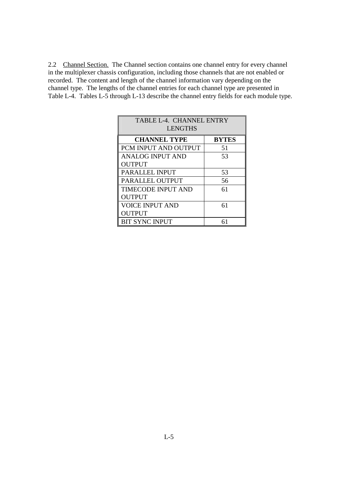2.2 Channel Section. The Channel section contains one channel entry for every channel in the multiplexer chassis configuration, including those channels that are not enabled or recorded. The content and length of the channel information vary depending on the channel type. The lengths of the channel entries for each channel type are presented in Table L-4. Tables L-5 through L-13 describe the channel entry fields for each module type.

| TABLE L-4. CHANNEL ENTRY<br><b>LENGTHS</b> |              |  |  |  |  |  |  |
|--------------------------------------------|--------------|--|--|--|--|--|--|
| <b>CHANNEL TYPE</b>                        | <b>BYTES</b> |  |  |  |  |  |  |
| PCM INPUT AND OUTPUT                       | 51           |  |  |  |  |  |  |
| <b>ANALOG INPUT AND</b>                    | 53           |  |  |  |  |  |  |
| <b>OUTPUT</b>                              |              |  |  |  |  |  |  |
| <b>PARALLEL INPUT</b>                      | 53           |  |  |  |  |  |  |
| PARALLEL OUTPUT                            | 56           |  |  |  |  |  |  |
| <b>TIMECODE INPUT AND</b>                  | 61           |  |  |  |  |  |  |
| <b>OUTPUT</b>                              |              |  |  |  |  |  |  |
| <b>VOICE INPUT AND</b><br>61               |              |  |  |  |  |  |  |
| <b>OUTPUT</b>                              |              |  |  |  |  |  |  |
| <b>BIT SYNC INPUT</b>                      |              |  |  |  |  |  |  |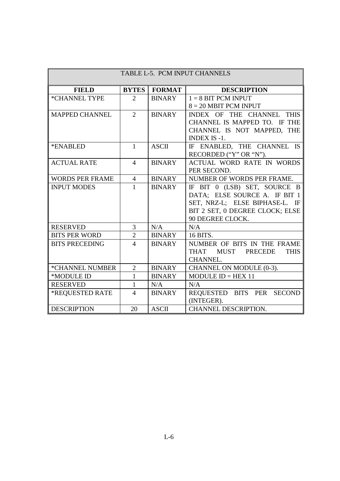| TABLE L-5. PCM INPUT CHANNELS |                |                       |                                  |  |  |  |
|-------------------------------|----------------|-----------------------|----------------------------------|--|--|--|
| <b>FIELD</b>                  |                | <b>BYTES   FORMAT</b> | <b>DESCRIPTION</b>               |  |  |  |
| *CHANNEL TYPE                 | 2              | <b>BINARY</b>         | $1 = 8$ BIT PCM INPUT            |  |  |  |
|                               |                |                       | $8 = 20$ MBIT PCM INPUT          |  |  |  |
| <b>MAPPED CHANNEL</b>         | $\overline{2}$ | <b>BINARY</b>         | INDEX OF THE CHANNEL THIS        |  |  |  |
|                               |                |                       | CHANNEL IS MAPPED TO. IF THE     |  |  |  |
|                               |                |                       | CHANNEL IS NOT MAPPED, THE       |  |  |  |
|                               |                |                       | <b>INDEX IS -1.</b>              |  |  |  |
| *ENABLED                      | $\mathbf{1}$   | <b>ASCII</b>          | IF ENABLED, THE CHANNEL IS       |  |  |  |
|                               |                |                       | RECORDED ("Y" OR "N").           |  |  |  |
| <b>ACTUAL RATE</b>            | $\overline{4}$ | <b>BINARY</b>         | <b>ACTUAL WORD RATE IN WORDS</b> |  |  |  |
|                               |                |                       | PER SECOND.                      |  |  |  |
| <b>WORDS PER FRAME</b>        | $\overline{4}$ | <b>BINARY</b>         | NUMBER OF WORDS PER FRAME.       |  |  |  |
| <b>INPUT MODES</b>            | $\mathbf{1}$   | <b>BINARY</b>         | IF BIT 0 (LSB) SET, SOURCE B     |  |  |  |
|                               |                |                       | DATA; ELSE SOURCE A. IF BIT 1    |  |  |  |
|                               |                |                       | SET, NRZ-L; ELSE BIPHASE-L. IF   |  |  |  |
|                               |                |                       | BIT 2 SET, 0 DEGREE CLOCK; ELSE  |  |  |  |
|                               |                |                       | 90 DEGREE CLOCK.                 |  |  |  |
| <b>RESERVED</b>               | $\overline{3}$ | N/A                   | N/A                              |  |  |  |
| <b>BITS PER WORD</b>          | $\overline{2}$ | <b>BINARY</b>         | 16 BITS.                         |  |  |  |
| <b>BITS PRECEDING</b>         | $\overline{4}$ | <b>BINARY</b>         | NUMBER OF BITS IN THE FRAME      |  |  |  |
|                               |                |                       | THAT MUST PRECEDE<br><b>THIS</b> |  |  |  |
|                               |                |                       | <b>CHANNEL.</b>                  |  |  |  |
| *CHANNEL NUMBER               | $\overline{2}$ | <b>BINARY</b>         | CHANNEL ON MODULE (0-3).         |  |  |  |
| *MODULE ID                    | $\mathbf{1}$   | <b>BINARY</b>         | MODULE $ID = HEX$ 11             |  |  |  |
| <b>RESERVED</b>               | $\mathbf{1}$   | N/A                   | N/A                              |  |  |  |
| *REQUESTED RATE               | $\overline{4}$ | <b>BINARY</b>         | REQUESTED BITS PER SECOND        |  |  |  |
|                               |                |                       | (INTEGER).                       |  |  |  |
| <b>DESCRIPTION</b>            | 20             | <b>ASCII</b>          | CHANNEL DESCRIPTION.             |  |  |  |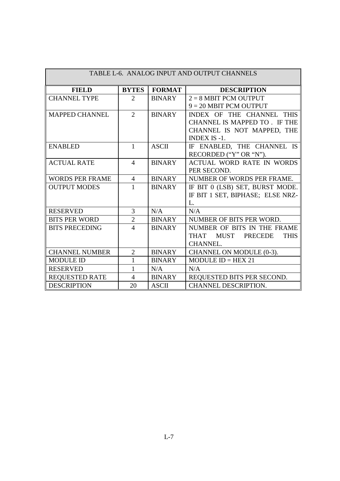| TABLE L-6. ANALOG INPUT AND OUTPUT CHANNELS |                             |               |                                            |  |  |  |  |
|---------------------------------------------|-----------------------------|---------------|--------------------------------------------|--|--|--|--|
| <b>FIELD</b>                                | <b>BYTES</b>                | <b>FORMAT</b> | <b>DESCRIPTION</b>                         |  |  |  |  |
| <b>CHANNEL TYPE</b>                         | $\mathcal{D}_{\mathcal{L}}$ | <b>BINARY</b> | $2 = 8$ MBIT PCM OUTPUT                    |  |  |  |  |
|                                             |                             |               | $9 = 20$ MBIT PCM OUTPUT                   |  |  |  |  |
| <b>MAPPED CHANNEL</b>                       | 2                           | <b>BINARY</b> | INDEX OF THE CHANNEL THIS                  |  |  |  |  |
|                                             |                             |               | CHANNEL IS MAPPED TO . IF THE              |  |  |  |  |
|                                             |                             |               | CHANNEL IS NOT MAPPED, THE                 |  |  |  |  |
|                                             |                             |               | <b>INDEX IS -1.</b>                        |  |  |  |  |
| <b>ENABLED</b>                              | $\mathbf{1}$                | <b>ASCII</b>  | IF ENABLED, THE CHANNEL IS                 |  |  |  |  |
|                                             |                             |               | RECORDED ("Y" OR "N").                     |  |  |  |  |
| <b>ACTUAL RATE</b>                          | $\overline{4}$              | <b>BINARY</b> | <b>ACTUAL WORD RATE IN WORDS</b>           |  |  |  |  |
|                                             |                             |               | PER SECOND.                                |  |  |  |  |
| <b>WORDS PER FRAME</b>                      | $\overline{4}$              | <b>BINARY</b> | NUMBER OF WORDS PER FRAME.                 |  |  |  |  |
| <b>OUTPUT MODES</b>                         | 1                           | <b>BINARY</b> | IF BIT 0 (LSB) SET, BURST MODE.            |  |  |  |  |
|                                             |                             |               | IF BIT 1 SET, BIPHASE; ELSE NRZ-           |  |  |  |  |
|                                             |                             |               | L.                                         |  |  |  |  |
| <b>RESERVED</b>                             | 3                           | N/A           | N/A                                        |  |  |  |  |
| <b>BITS PER WORD</b>                        | $\overline{2}$              | <b>BINARY</b> | NUMBER OF BITS PER WORD.                   |  |  |  |  |
| <b>BITS PRECEDING</b>                       | $\overline{4}$              | <b>BINARY</b> | NUMBER OF BITS IN THE FRAME                |  |  |  |  |
|                                             |                             |               | <b>THAT</b><br>MUST PRECEDE<br><b>THIS</b> |  |  |  |  |
|                                             |                             |               | <b>CHANNEL.</b>                            |  |  |  |  |
| <b>CHANNEL NUMBER</b>                       | 2                           | <b>BINARY</b> | CHANNEL ON MODULE (0-3).                   |  |  |  |  |
| <b>MODULE ID</b>                            | 1                           | <b>BINARY</b> | $MODULEID = HEX 21$                        |  |  |  |  |
| <b>RESERVED</b>                             | 1                           | N/A           | N/A                                        |  |  |  |  |
| <b>REOUESTED RATE</b>                       | 4                           | <b>BINARY</b> | REQUESTED BITS PER SECOND.                 |  |  |  |  |
| <b>DESCRIPTION</b>                          | 20                          | <b>ASCII</b>  | <b>CHANNEL DESCRIPTION.</b>                |  |  |  |  |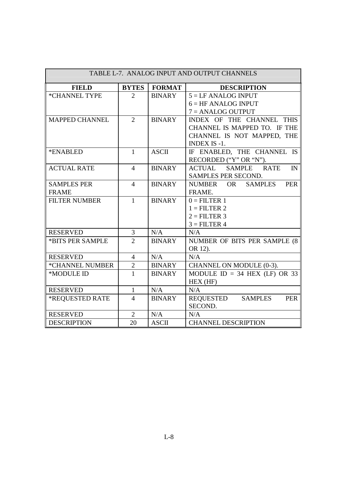| TABLE L-7. ANALOG INPUT AND OUTPUT CHANNELS |                |               |                                                               |  |  |  |
|---------------------------------------------|----------------|---------------|---------------------------------------------------------------|--|--|--|
| <b>FIELD</b>                                | <b>BYTES</b>   | <b>FORMAT</b> | <b>DESCRIPTION</b>                                            |  |  |  |
| *CHANNEL TYPE                               | 2              | <b>BINARY</b> | $5 = LF$ ANALOG INPUT                                         |  |  |  |
|                                             |                |               | $6 = HF ANALOG INPUT$                                         |  |  |  |
|                                             |                |               | $7 = ANALOG$ OUTPUT                                           |  |  |  |
| <b>MAPPED CHANNEL</b>                       | $\overline{2}$ | <b>BINARY</b> | INDEX OF THE CHANNEL THIS                                     |  |  |  |
|                                             |                |               | CHANNEL IS MAPPED TO. IF THE                                  |  |  |  |
|                                             |                |               | CHANNEL IS NOT MAPPED, THE                                    |  |  |  |
|                                             |                |               | <b>INDEX IS -1.</b>                                           |  |  |  |
| *ENABLED                                    | $\mathbf{1}$   | <b>ASCII</b>  | IF ENABLED, THE CHANNEL IS                                    |  |  |  |
|                                             |                |               | RECORDED ("Y" OR "N").                                        |  |  |  |
| <b>ACTUAL RATE</b>                          | $\overline{4}$ | <b>BINARY</b> | <b>ACTUAL</b><br><b>SAMPLE</b><br><b>RATE</b><br>$\mathbb{N}$ |  |  |  |
|                                             |                |               | SAMPLES PER SECOND.                                           |  |  |  |
| <b>SAMPLES PER</b>                          | $\overline{4}$ | <b>BINARY</b> | <b>OR</b><br><b>NUMBER</b><br><b>SAMPLES</b><br><b>PER</b>    |  |  |  |
| <b>FRAME</b>                                |                |               | FRAME.                                                        |  |  |  |
| <b>FILTER NUMBER</b>                        | $\mathbf{1}$   | <b>BINARY</b> | $0 =$ FILTER 1                                                |  |  |  |
|                                             |                |               | $1 =$ FILTER 2                                                |  |  |  |
|                                             |                |               | $2 =$ FILTER 3                                                |  |  |  |
|                                             |                |               | $3 =$ FILTER 4                                                |  |  |  |
| <b>RESERVED</b>                             | 3              | N/A           | N/A                                                           |  |  |  |
| *BITS PER SAMPLE                            | $\overline{2}$ | <b>BINARY</b> | NUMBER OF BITS PER SAMPLE (8)                                 |  |  |  |
|                                             |                |               | OR 12).                                                       |  |  |  |
| <b>RESERVED</b>                             | $\overline{4}$ | N/A           | N/A                                                           |  |  |  |
| *CHANNEL NUMBER                             | $\overline{2}$ | <b>BINARY</b> | CHANNEL ON MODULE (0-3).                                      |  |  |  |
| *MODULE ID                                  | $\mathbf{1}$   | <b>BINARY</b> | MODULE $ID = 34$ HEX (LF) OR 33                               |  |  |  |
|                                             |                |               | HEX (HF)                                                      |  |  |  |
| <b>RESERVED</b>                             | $\mathbf{1}$   | N/A           | N/A                                                           |  |  |  |
| *REQUESTED RATE                             | $\overline{4}$ | <b>BINARY</b> | REQUESTED<br><b>SAMPLES</b><br><b>PER</b>                     |  |  |  |
|                                             |                |               | SECOND.                                                       |  |  |  |
| <b>RESERVED</b>                             | $\overline{2}$ | N/A           | N/A                                                           |  |  |  |
| <b>DESCRIPTION</b>                          | 20             | <b>ASCII</b>  | <b>CHANNEL DESCRIPTION</b>                                    |  |  |  |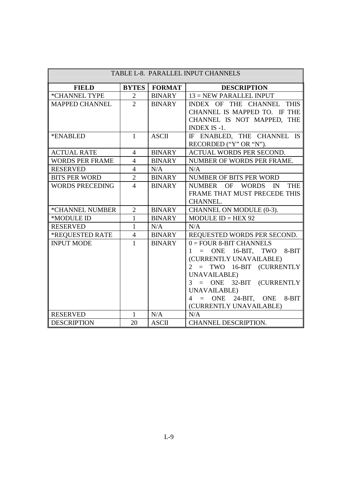| TABLE L-8. PARALLEL INPUT CHANNELS |                |               |                                               |  |  |  |
|------------------------------------|----------------|---------------|-----------------------------------------------|--|--|--|
| <b>FIELD</b>                       | <b>BYTES</b>   | <b>FORMAT</b> | <b>DESCRIPTION</b>                            |  |  |  |
| *CHANNEL TYPE                      | $\overline{2}$ | <b>BINARY</b> | 13 = NEW PARALLEL INPUT                       |  |  |  |
| <b>MAPPED CHANNEL</b>              | $\overline{2}$ | <b>BINARY</b> | INDEX OF THE CHANNEL THIS                     |  |  |  |
|                                    |                |               | CHANNEL IS MAPPED TO. IF THE                  |  |  |  |
|                                    |                |               | CHANNEL IS NOT MAPPED, THE                    |  |  |  |
|                                    |                |               | <b>INDEX IS -1.</b>                           |  |  |  |
| *ENABLED                           | $\mathbf{1}$   | <b>ASCII</b>  | IF ENABLED, THE CHANNEL IS                    |  |  |  |
|                                    |                |               | RECORDED ("Y" OR "N").                        |  |  |  |
| <b>ACTUAL RATE</b>                 | $\overline{4}$ | <b>BINARY</b> | ACTUAL WORDS PER SECOND.                      |  |  |  |
| <b>WORDS PER FRAME</b>             | $\overline{4}$ | <b>BINARY</b> | NUMBER OF WORDS PER FRAME.                    |  |  |  |
| <b>RESERVED</b>                    | $\overline{4}$ | N/A           | N/A                                           |  |  |  |
| <b>BITS PER WORD</b>               | $\overline{2}$ | <b>BINARY</b> | NUMBER OF BITS PER WORD                       |  |  |  |
| <b>WORDS PRECEDING</b>             | $\overline{4}$ | <b>BINARY</b> | NUMBER OF WORDS<br>$\mathbb{N}$<br><b>THE</b> |  |  |  |
|                                    |                |               | FRAME THAT MUST PRECEDE THIS                  |  |  |  |
|                                    |                |               | <b>CHANNEL.</b>                               |  |  |  |
| *CHANNEL NUMBER                    | $\overline{2}$ | <b>BINARY</b> | CHANNEL ON MODULE (0-3).                      |  |  |  |
| *MODULE ID                         | 1              | <b>BINARY</b> | MODULE $ID = HEX 92$                          |  |  |  |
| <b>RESERVED</b>                    | $\mathbf{1}$   | N/A           | N/A                                           |  |  |  |
| *REOUESTED RATE                    | $\overline{4}$ | <b>BINARY</b> | REOUESTED WORDS PER SECOND.                   |  |  |  |
| <b>INPUT MODE</b>                  | $\mathbf{1}$   | <b>BINARY</b> | $0 =$ FOUR 8-BIT CHANNELS                     |  |  |  |
|                                    |                |               | $1 = ONE$ 16-BIT, TWO 8-BIT                   |  |  |  |
|                                    |                |               | (CURRENTLY UNAVAILABLE)                       |  |  |  |
|                                    |                |               | 2 = TWO 16-BIT (CURRENTLY                     |  |  |  |
|                                    |                |               | UNAVAILABLE)                                  |  |  |  |
|                                    |                |               | 3 = ONE 32-BIT (CURRENTLY                     |  |  |  |
|                                    |                |               | UNAVAILABLE)                                  |  |  |  |
|                                    |                |               | $4 = ONE$ 24-BIT, ONE<br>$8-BIT$              |  |  |  |
|                                    |                |               | (CURRENTLY UNAVAILABLE)                       |  |  |  |
| <b>RESERVED</b>                    | $\mathbf{1}$   | N/A           | N/A                                           |  |  |  |
| <b>DESCRIPTION</b>                 | 20             | <b>ASCII</b>  | <b>CHANNEL DESCRIPTION.</b>                   |  |  |  |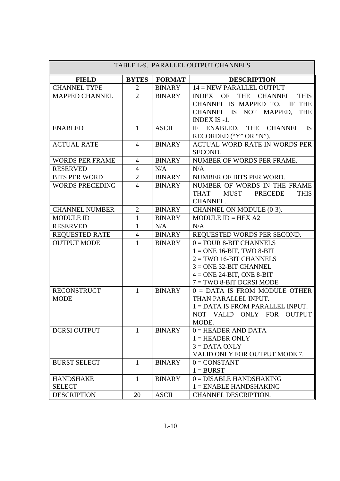| TABLE L-9. PARALLEL OUTPUT CHANNELS |                |               |                                                                                                                                                                                 |  |
|-------------------------------------|----------------|---------------|---------------------------------------------------------------------------------------------------------------------------------------------------------------------------------|--|
| <b>FIELD</b>                        | <b>BYTES</b>   | <b>FORMAT</b> | <b>DESCRIPTION</b>                                                                                                                                                              |  |
| <b>CHANNEL TYPE</b>                 | $\overline{2}$ | <b>BINARY</b> | 14 = NEW PARALLEL OUTPUT                                                                                                                                                        |  |
| <b>MAPPED CHANNEL</b>               | $\overline{2}$ | <b>BINARY</b> | INDEX OF<br><b>THE</b><br><b>CHANNEL</b><br><b>THIS</b><br>CHANNEL IS MAPPED TO. IF THE<br>CHANNEL IS NOT MAPPED,<br><b>THE</b><br><b>INDEX IS -1.</b>                          |  |
| <b>ENABLED</b>                      | $\mathbf{1}$   | <b>ASCII</b>  | IF ENABLED, THE CHANNEL IS<br>RECORDED ("Y" OR "N").                                                                                                                            |  |
| <b>ACTUAL RATE</b>                  | $\overline{4}$ | <b>BINARY</b> | ACTUAL WORD RATE IN WORDS PER<br>SECOND.                                                                                                                                        |  |
| <b>WORDS PER FRAME</b>              | $\overline{4}$ | <b>BINARY</b> | NUMBER OF WORDS PER FRAME.                                                                                                                                                      |  |
| <b>RESERVED</b>                     | $\overline{4}$ | N/A           | N/A                                                                                                                                                                             |  |
| <b>BITS PER WORD</b>                | $\overline{2}$ | <b>BINARY</b> | NUMBER OF BITS PER WORD.                                                                                                                                                        |  |
| <b>WORDS PRECEDING</b>              | $\overline{4}$ | <b>BINARY</b> | NUMBER OF WORDS IN THE FRAME<br><b>THAT</b><br><b>MUST</b><br><b>PRECEDE</b><br><b>THIS</b><br><b>CHANNEL.</b>                                                                  |  |
| <b>CHANNEL NUMBER</b>               | $\overline{2}$ | <b>BINARY</b> | CHANNEL ON MODULE (0-3).                                                                                                                                                        |  |
| <b>MODULE ID</b>                    | $\mathbf{1}$   | <b>BINARY</b> | MODULE $ID = HEX A2$                                                                                                                                                            |  |
| <b>RESERVED</b>                     | $\mathbf{1}$   | N/A           | N/A                                                                                                                                                                             |  |
| <b>REQUESTED RATE</b>               | $\overline{4}$ | <b>BINARY</b> | REQUESTED WORDS PER SECOND.                                                                                                                                                     |  |
| <b>OUTPUT MODE</b>                  | $\mathbf{1}$   | <b>BINARY</b> | $0 =$ FOUR 8-BIT CHANNELS<br>$1 = ONE$ 16-BIT, TWO 8-BIT<br>$2 = TWO$ 16-BIT CHANNELS<br>$3 = ONE$ 32-BIT CHANNEL<br>$4 = ONE 24-BIT$ , ONE 8-BIT<br>$7 = TWO 8-BIT DCRSI MODE$ |  |
| <b>RECONSTRUCT</b><br><b>MODE</b>   | $\mathbf{1}$   | <b>BINARY</b> | $0 = DATA$ IS FROM MODULE OTHER<br>THAN PARALLEL INPUT.<br>$1 =$ DATA IS FROM PARALLEL INPUT.<br>NOT VALID ONLY FOR OUTPUT<br>MODE.                                             |  |
| <b>DCRSI OUTPUT</b>                 | 1              | <b>BINARY</b> | $0 = HEADER$ AND DATA<br>$1 = HEADER$ ONLY<br>$3 = DATA$ ONLY<br>VALID ONLY FOR OUTPUT MODE 7.                                                                                  |  |
| <b>BURST SELECT</b>                 | 1              | <b>BINARY</b> | $0 = CONSTANT$<br>$1 = BURST$                                                                                                                                                   |  |
| <b>HANDSHAKE</b>                    | $\mathbf{1}$   | <b>BINARY</b> | $0 = DISABLE$ HANDSHAKING                                                                                                                                                       |  |
| <b>SELECT</b>                       |                |               | $1 =$ ENABLE HANDSHAKING                                                                                                                                                        |  |
| <b>DESCRIPTION</b>                  | 20             | <b>ASCII</b>  | CHANNEL DESCRIPTION.                                                                                                                                                            |  |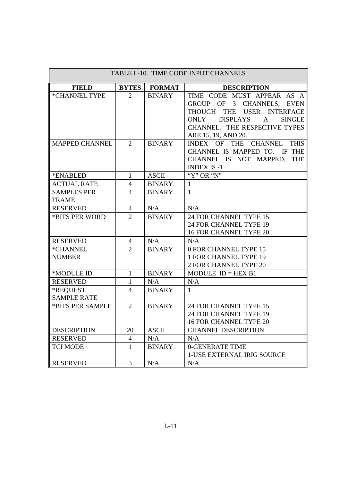| TABLE L-10. TIME CODE INPUT CHANNELS |                |               |                                                                                                                                                                                                          |  |
|--------------------------------------|----------------|---------------|----------------------------------------------------------------------------------------------------------------------------------------------------------------------------------------------------------|--|
| <b>FIELD</b>                         | <b>BYTES</b>   | <b>FORMAT</b> | <b>DESCRIPTION</b>                                                                                                                                                                                       |  |
| *CHANNEL TYPE                        | $\overline{2}$ | <b>BINARY</b> | TIME CODE MUST APPEAR AS A<br>GROUP OF 3 CHANNELS, EVEN<br>THOUGH THE USER INTERFACE<br><b>DISPLAYS</b><br>$\mathbf{A}$<br><b>SINGLE</b><br>ONLY<br>CHANNEL. THE RESPECTIVE TYPES<br>ARE 15, 19, AND 20. |  |
| <b>MAPPED CHANNEL</b>                | $\overline{2}$ | <b>BINARY</b> | INDEX OF THE CHANNEL THIS<br>CHANNEL IS MAPPED TO. IF THE<br>CHANNEL IS NOT MAPPED,<br><b>THE</b><br>INDEX IS -1.                                                                                        |  |
| *ENABLED                             | $\mathbf{1}$   | <b>ASCII</b>  | "Y" OR "N"                                                                                                                                                                                               |  |
| <b>ACTUAL RATE</b>                   | $\overline{4}$ | <b>BINARY</b> | $\mathbf{1}$                                                                                                                                                                                             |  |
| <b>SAMPLES PER</b><br><b>FRAME</b>   | $\overline{4}$ | <b>BINARY</b> | $\mathbf{1}$                                                                                                                                                                                             |  |
| <b>RESERVED</b>                      | $\overline{4}$ | N/A           | N/A                                                                                                                                                                                                      |  |
| *BITS PER WORD                       | $\overline{2}$ | <b>BINARY</b> | 24 FOR CHANNEL TYPE 15<br>24 FOR CHANNEL TYPE 19<br><b>16 FOR CHANNEL TYPE 20</b>                                                                                                                        |  |
| <b>RESERVED</b>                      | $\overline{4}$ | N/A           | N/A                                                                                                                                                                                                      |  |
| *CHANNEL<br><b>NUMBER</b>            | $\overline{2}$ | <b>BINARY</b> | 0 FOR CHANNEL TYPE 15<br><b>1 FOR CHANNEL TYPE 19</b><br>2 FOR CHANNEL TYPE 20                                                                                                                           |  |
| *MODULE ID                           | $\mathbf{1}$   | <b>BINARY</b> | MODULE $ID = HEX B1$                                                                                                                                                                                     |  |
| <b>RESERVED</b>                      | $\mathbf{1}$   | N/A           | N/A                                                                                                                                                                                                      |  |
| *REQUEST<br><b>SAMPLE RATE</b>       | $\overline{4}$ | <b>BINARY</b> | $\mathbf{1}$                                                                                                                                                                                             |  |
| *BITS PER SAMPLE                     | $\overline{2}$ | <b>BINARY</b> | 24 FOR CHANNEL TYPE 15<br>24 FOR CHANNEL TYPE 19<br>16 FOR CHANNEL TYPE 20                                                                                                                               |  |
| <b>DESCRIPTION</b>                   | 20             | <b>ASCII</b>  | <b>CHANNEL DESCRIPTION</b>                                                                                                                                                                               |  |
| <b>RESERVED</b>                      | $\overline{4}$ | N/A           | N/A                                                                                                                                                                                                      |  |
| <b>TCI MODE</b>                      | $\mathbf{1}$   | <b>BINARY</b> | 0-GENERATE TIME<br><b>1-USE EXTERNAL IRIG SOURCE</b>                                                                                                                                                     |  |
| <b>RESERVED</b>                      | $\overline{3}$ | N/A           | N/A                                                                                                                                                                                                      |  |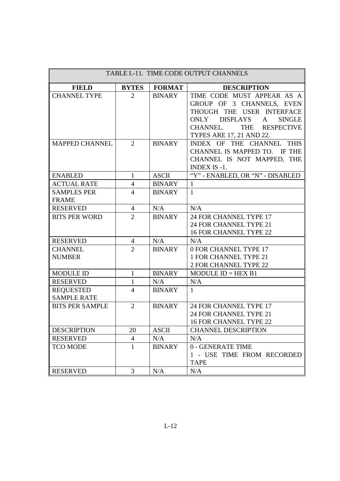| TABLE L-11. TIME CODE OUTPUT CHANNELS  |                |               |                                                                                                                                                                                    |
|----------------------------------------|----------------|---------------|------------------------------------------------------------------------------------------------------------------------------------------------------------------------------------|
| <b>FIELD</b>                           | <b>BYTES</b>   | <b>FORMAT</b> | <b>DESCRIPTION</b>                                                                                                                                                                 |
| <b>CHANNEL TYPE</b>                    | $\overline{2}$ | <b>BINARY</b> | TIME CODE MUST APPEAR AS A<br>GROUP OF 3 CHANNELS, EVEN<br>THOUGH THE USER INTERFACE<br>ONLY DISPLAYS A<br><b>SINGLE</b><br>THE RESPECTIVE<br>CHANNEL.<br>TYPES ARE 17, 21 AND 22. |
| <b>MAPPED CHANNEL</b>                  | $\overline{2}$ | <b>BINARY</b> | INDEX OF THE CHANNEL THIS<br>CHANNEL IS MAPPED TO. IF THE<br>CHANNEL IS NOT MAPPED, THE<br><b>INDEX IS -1.</b>                                                                     |
| <b>ENABLED</b>                         | $\mathbf{1}$   | <b>ASCII</b>  | "Y" - ENABLED, OR "N" - DISABLED                                                                                                                                                   |
| <b>ACTUAL RATE</b>                     | $\overline{4}$ | <b>BINARY</b> | $\mathbf{1}$                                                                                                                                                                       |
| <b>SAMPLES PER</b><br><b>FRAME</b>     | $\overline{4}$ | <b>BINARY</b> | $\mathbf{1}$                                                                                                                                                                       |
| <b>RESERVED</b>                        | $\overline{4}$ | N/A           | N/A                                                                                                                                                                                |
| <b>BITS PER WORD</b>                   | $\overline{2}$ | <b>BINARY</b> | 24 FOR CHANNEL TYPE 17<br>24 FOR CHANNEL TYPE 21<br><b>16 FOR CHANNEL TYPE 22</b>                                                                                                  |
| <b>RESERVED</b>                        | 4              | N/A           | N/A                                                                                                                                                                                |
| <b>CHANNEL</b><br><b>NUMBER</b>        | $\overline{2}$ | <b>BINARY</b> | 0 FOR CHANNEL TYPE 17<br>1 FOR CHANNEL TYPE 21<br>2 FOR CHANNEL TYPE 22                                                                                                            |
| <b>MODULE ID</b>                       | $\mathbf{1}$   | <b>BINARY</b> | $MODULE$ ID = HEX B1                                                                                                                                                               |
| <b>RESERVED</b>                        | $\mathbf{1}$   | N/A           | N/A                                                                                                                                                                                |
| <b>REQUESTED</b><br><b>SAMPLE RATE</b> | $\overline{4}$ | <b>BINARY</b> | $\mathbf{1}$                                                                                                                                                                       |
| <b>BITS PER SAMPLE</b>                 | $\overline{2}$ | <b>BINARY</b> | 24 FOR CHANNEL TYPE 17<br>24 FOR CHANNEL TYPE 21<br><b>16 FOR CHANNEL TYPE 22</b>                                                                                                  |
| <b>DESCRIPTION</b>                     | 20             | <b>ASCII</b>  | <b>CHANNEL DESCRIPTION</b>                                                                                                                                                         |
| <b>RESERVED</b>                        | $\overline{4}$ | N/A           | N/A                                                                                                                                                                                |
| <b>TCO MODE</b>                        | $\mathbf{1}$   | <b>BINARY</b> | 0 - GENERATE TIME<br>1 - USE TIME FROM RECORDED<br><b>TAPE</b>                                                                                                                     |
| <b>RESERVED</b>                        | 3              | N/A           | N/A                                                                                                                                                                                |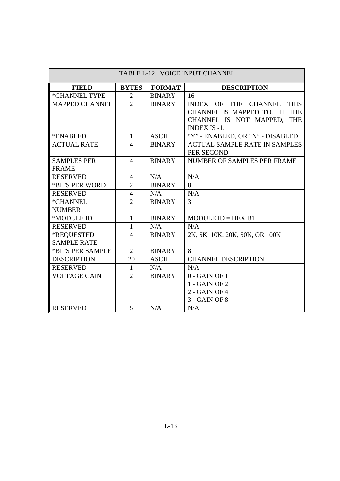| TABLE L-12. VOICE INPUT CHANNEL |                |               |                                                   |  |
|---------------------------------|----------------|---------------|---------------------------------------------------|--|
| <b>FIELD</b>                    | <b>BYTES</b>   | <b>FORMAT</b> | <b>DESCRIPTION</b>                                |  |
| *CHANNEL TYPE                   | 2              | <b>BINARY</b> | 16                                                |  |
| <b>MAPPED CHANNEL</b>           | $\overline{2}$ | <b>BINARY</b> | INDEX OF THE CHANNEL<br><b>THIS</b>               |  |
|                                 |                |               | CHANNEL IS MAPPED TO. IF THE                      |  |
|                                 |                |               | CHANNEL IS NOT MAPPED, THE<br><b>INDEX IS -1.</b> |  |
| *ENABLED                        | $\mathbf{1}$   | <b>ASCII</b>  | "Y" - ENABLED, OR "N" - DISABLED                  |  |
| <b>ACTUAL RATE</b>              | 4              | <b>BINARY</b> | <b>ACTUAL SAMPLE RATE IN SAMPLES</b>              |  |
|                                 |                |               | PER SECOND                                        |  |
| <b>SAMPLES PER</b>              | $\overline{4}$ | <b>BINARY</b> | NUMBER OF SAMPLES PER FRAME                       |  |
| <b>FRAME</b>                    |                |               |                                                   |  |
| <b>RESERVED</b>                 | $\overline{4}$ | N/A           | N/A                                               |  |
| *BITS PER WORD                  | $\overline{2}$ | <b>BINARY</b> | 8                                                 |  |
| <b>RESERVED</b>                 | $\overline{4}$ | N/A           | N/A                                               |  |
| *CHANNEL                        | $\overline{2}$ | <b>BINARY</b> | $\overline{3}$                                    |  |
| <b>NUMBER</b>                   |                |               |                                                   |  |
| *MODULE ID                      | $\mathbf{1}$   | <b>BINARY</b> | MODULE $ID = HEX B1$                              |  |
| <b>RESERVED</b>                 | $\mathbf{1}$   | N/A           | N/A                                               |  |
| *REQUESTED                      | $\overline{4}$ | <b>BINARY</b> | 2K, 5K, 10K, 20K, 50K, OR 100K                    |  |
| <b>SAMPLE RATE</b>              |                |               |                                                   |  |
| *BITS PER SAMPLE                | $\overline{2}$ | <b>BINARY</b> | 8                                                 |  |
| <b>DESCRIPTION</b>              | 20             | <b>ASCII</b>  | <b>CHANNEL DESCRIPTION</b>                        |  |
| <b>RESERVED</b>                 | 1              | N/A           | N/A                                               |  |
| <b>VOLTAGE GAIN</b>             | $\overline{2}$ | <b>BINARY</b> | $0 - GAMN$ OF 1                                   |  |
|                                 |                |               | 1 - GAIN OF 2                                     |  |
|                                 |                |               | 2 - GAIN OF 4                                     |  |
|                                 |                |               | 3 - GAIN OF 8                                     |  |
| <b>RESERVED</b>                 | 5              | N/A           | N/A                                               |  |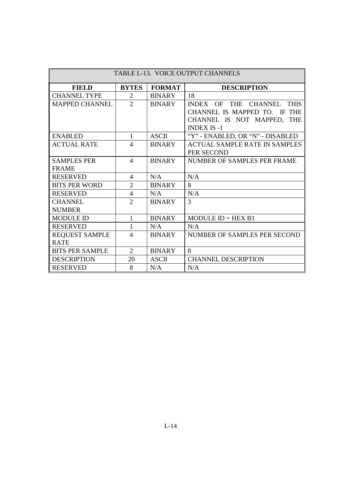| TABLE L-13. VOICE OUTPUT CHANNELS |                |               |                                               |
|-----------------------------------|----------------|---------------|-----------------------------------------------|
| <b>FIELD</b>                      | <b>BYTES</b>   | <b>FORMAT</b> | <b>DESCRIPTION</b>                            |
| <b>CHANNEL TYPE</b>               | $\overline{2}$ | <b>BINARY</b> | 18                                            |
| <b>MAPPED CHANNEL</b>             | $\overline{2}$ | <b>BINARY</b> | <b>THIS</b><br><b>INDEX OF</b><br>THE CHANNEL |
|                                   |                |               | CHANNEL IS MAPPED TO. IF<br><b>THE</b>        |
|                                   |                |               | CHANNEL IS NOT MAPPED,<br><b>THE</b>          |
|                                   |                |               | <b>INDEX IS -1</b>                            |
| <b>ENABLED</b>                    | 1              | <b>ASCII</b>  | "Y" - ENABLED, OR "N" - DISABLED              |
| <b>ACTUAL RATE</b>                | $\overline{4}$ | <b>BINARY</b> | <b>ACTUAL SAMPLE RATE IN SAMPLES</b>          |
|                                   |                |               | PER SECOND                                    |
| <b>SAMPLES PER</b>                | $\overline{4}$ | <b>BINARY</b> | NUMBER OF SAMPLES PER FRAME                   |
| <b>FRAME</b>                      |                |               |                                               |
| <b>RESERVED</b>                   | $\overline{4}$ | N/A           | N/A                                           |
| <b>BITS PER WORD</b>              | $\overline{2}$ | <b>BINARY</b> | 8                                             |
| <b>RESERVED</b>                   | $\overline{4}$ | N/A           | N/A                                           |
| <b>CHANNEL</b>                    | $\overline{2}$ | <b>BINARY</b> | 3                                             |
| <b>NUMBER</b>                     |                |               |                                               |
| <b>MODULE ID</b>                  | $\mathbf{1}$   | <b>BINARY</b> | MODULE $ID = HEX B1$                          |
| <b>RESERVED</b>                   | 1              | N/A           | N/A                                           |
| <b>REQUEST SAMPLE</b>             | $\overline{4}$ | <b>BINARY</b> | NUMBER OF SAMPLES PER SECOND                  |
| <b>RATE</b>                       |                |               |                                               |
| <b>BITS PER SAMPLE</b>            | $\overline{2}$ | <b>BINARY</b> | 8                                             |
| <b>DESCRIPTION</b>                | 20             | <b>ASCII</b>  | <b>CHANNEL DESCRIPTION</b>                    |
| <b>RESERVED</b>                   | 8              | N/A           | N/A                                           |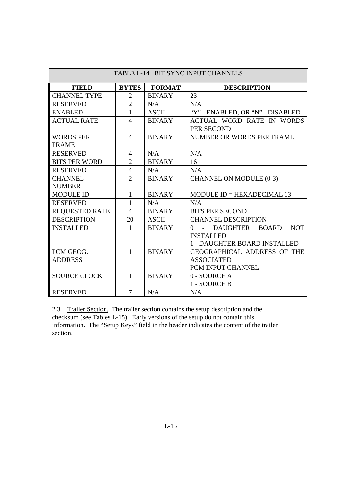| TABLE L-14. BIT SYNC INPUT CHANNELS |                |               |                                         |
|-------------------------------------|----------------|---------------|-----------------------------------------|
| <b>FIELD</b>                        | <b>BYTES</b>   | <b>FORMAT</b> | <b>DESCRIPTION</b>                      |
| <b>CHANNEL TYPE</b>                 | 2              | <b>BINARY</b> | 23                                      |
| <b>RESERVED</b>                     | $\overline{2}$ | N/A           | N/A                                     |
| <b>ENABLED</b>                      | 1              | <b>ASCII</b>  | "Y" - ENABLED, OR "N" - DISABLED        |
| <b>ACTUAL RATE</b>                  | 4              | <b>BINARY</b> | ACTUAL WORD RATE IN WORDS<br>PER SECOND |
| <b>WORDS PER</b><br><b>FRAME</b>    | $\overline{4}$ | <b>BINARY</b> | <b>NUMBER OR WORDS PER FRAME</b>        |
| <b>RESERVED</b>                     | $\overline{4}$ | N/A           | N/A                                     |
| <b>BITS PER WORD</b>                | $\overline{2}$ | <b>BINARY</b> | 16                                      |
| <b>RESERVED</b>                     | $\overline{4}$ | N/A           | N/A                                     |
| <b>CHANNEL</b>                      | $\overline{2}$ | <b>BINARY</b> | CHANNEL ON MODULE (0-3)                 |
| <b>NUMBER</b>                       |                |               |                                         |
| <b>MODULE ID</b>                    | 1              | <b>BINARY</b> | MODULE $ID = HEXADECIMAL$ 13            |
| <b>RESERVED</b>                     | 1              | N/A           | N/A                                     |
| <b>REQUESTED RATE</b>               | $\overline{4}$ | <b>BINARY</b> | <b>BITS PER SECOND</b>                  |
| <b>DESCRIPTION</b>                  | 20             | <b>ASCII</b>  | <b>CHANNEL DESCRIPTION</b>              |
| <b>INSTALLED</b>                    | 1              | <b>BINARY</b> | <b>NOT</b><br>0 - DAUGHTER BOARD        |
|                                     |                |               | <b>INSTALLED</b>                        |
|                                     |                |               | 1 - DAUGHTER BOARD INSTALLED            |
| PCM GEOG.                           | $\mathbf{1}$   | <b>BINARY</b> | GEOGRAPHICAL ADDRESS OF THE             |
| <b>ADDRESS</b>                      |                |               | <b>ASSOCIATED</b>                       |
|                                     |                |               | PCM INPUT CHANNEL                       |
| <b>SOURCE CLOCK</b>                 | $\mathbf{1}$   | <b>BINARY</b> | 0 - SOURCE A                            |
|                                     |                |               | 1 - SOURCE B                            |
| <b>RESERVED</b>                     | $\overline{7}$ | N/A           | N/A                                     |

2.3 Trailer Section. The trailer section contains the setup description and the checksum (see Tables L-15). Early versions of the setup do not contain this information. The "Setup Keys" field in the header indicates the content of the trailer section.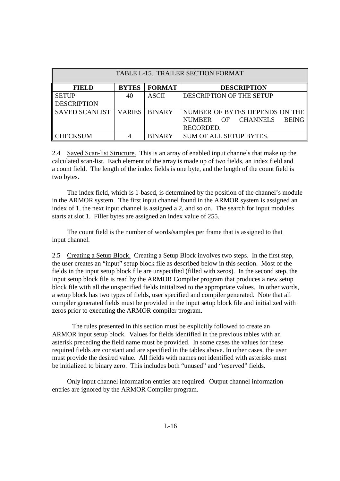| TABLE L-15. TRAILER SECTION FORMAT |                 |               |                                              |
|------------------------------------|-----------------|---------------|----------------------------------------------|
| <b>FIELD</b>                       | <b>BYTES</b>    | <b>FORMAT</b> | <b>DESCRIPTION</b>                           |
| <b>SETUP</b>                       | 40              | <b>ASCII</b>  | DESCRIPTION OF THE SETUP                     |
| <b>DESCRIPTION</b>                 |                 |               |                                              |
| <b>SAVED SCANLIST</b>              | <b>VARIES</b> I | <b>BINARY</b> | NUMBER OF BYTES DEPENDS ON THE               |
|                                    |                 |               | <b>CHANNELS</b><br>NUMBER OF<br><b>BEING</b> |
|                                    |                 |               | RECORDED.                                    |
| <b>CHECKSUM</b>                    |                 | <b>BINARY</b> | <b>SUM OF ALL SETUP BYTES.</b>               |

2.4 Saved Scan-list Structure. This is an array of enabled input channels that make up the calculated scan-list. Each element of the array is made up of two fields, an index field and a count field. The length of the index fields is one byte, and the length of the count field is two bytes.

 The index field, which is 1-based, is determined by the position of the channel's module in the ARMOR system. The first input channel found in the ARMOR system is assigned an index of 1, the next input channel is assigned a 2, and so on. The search for input modules starts at slot 1. Filler bytes are assigned an index value of 255.

 The count field is the number of words/samples per frame that is assigned to that input channel.

2.5 Creating a Setup Block. Creating a Setup Block involves two steps. In the first step, the user creates an "input" setup block file as described below in this section. Most of the fields in the input setup block file are unspecified (filled with zeros). In the second step, the input setup block file is read by the ARMOR Compiler program that produces a new setup block file with all the unspecified fields initialized to the appropriate values. In other words, a setup block has two types of fields, user specified and compiler generated. Note that all compiler generated fields must be provided in the input setup block file and initialized with zeros prior to executing the ARMOR compiler program.

 The rules presented in this section must be explicitly followed to create an ARMOR input setup block. Values for fields identified in the previous tables with an asterisk preceding the field name must be provided. In some cases the values for these required fields are constant and are specified in the tables above. In other cases, the user must provide the desired value. All fields with names not identified with asterisks must be initialized to binary zero. This includes both "unused" and "reserved" fields.

 Only input channel information entries are required. Output channel information entries are ignored by the ARMOR Compiler program.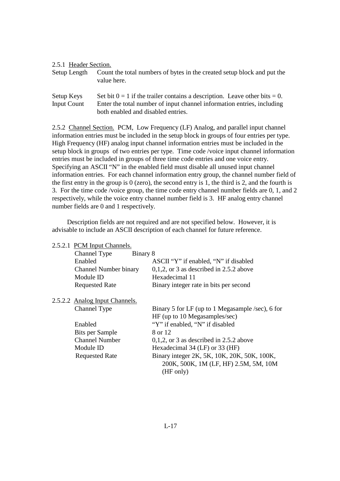| 2.5.1 Header Section.            |                                                                                                                                                        |
|----------------------------------|--------------------------------------------------------------------------------------------------------------------------------------------------------|
| Setup Length                     | Count the total numbers of bytes in the created setup block and put the<br>value here.                                                                 |
| Setup Keys<br><b>Input Count</b> | Set bit $0 = 1$ if the trailer contains a description. Leave other bits = 0.<br>Enter the total number of input channel information entries, including |
|                                  | both enabled and disabled entries.                                                                                                                     |

2.5.2 Channel Section. PCM, Low Frequency (LF) Analog, and parallel input channel information entries must be included in the setup block in groups of four entries per type. High Frequency (HF) analog input channel information entries must be included in the setup block in groups of two entries per type. Time code /voice input channel information entries must be included in groups of three time code entries and one voice entry. Specifying an ASCII "N" in the enabled field must disable all unused input channel information entries. For each channel information entry group, the channel number field of the first entry in the group is 0 (zero), the second entry is 1, the third is 2, and the fourth is 3. For the time code /voice group, the time code entry channel number fields are 0, 1, and 2 respectively, while the voice entry channel number field is 3. HF analog entry channel number fields are 0 and 1 respectively.

 Description fields are not required and are not specified below. However, it is advisable to include an ASCII description of each channel for future reference.

2.5.2.1 PCM Input Channels.

| Binary 8<br>Channel Type       |                                                  |
|--------------------------------|--------------------------------------------------|
| Enabled                        | ASCII "Y" if enabled, "N" if disabled            |
| <b>Channel Number binary</b>   | $0,1,2$ , or 3 as described in 2.5.2 above       |
| Module ID                      | Hexadecimal 11                                   |
| <b>Requested Rate</b>          | Binary integer rate in bits per second           |
| 2.5.2.2 Analog Input Channels. |                                                  |
| Channel Type                   | Binary 5 for LF (up to 1 Megasample /sec), 6 for |
|                                | HF (up to 10 Megasamples/sec)                    |
| Enabled                        | "Y" if enabled, "N" if disabled                  |
| Bits per Sample                | 8 or 12                                          |
| <b>Channel Number</b>          | $0,1,2$ , or 3 as described in 2.5.2 above       |
| Module ID                      | Hexadecimal 34 (LF) or 33 (HF)                   |
| <b>Requested Rate</b>          | Binary integer 2K, 5K, 10K, 20K, 50K, 100K,      |
|                                | 200K, 500K, 1M (LF, HF) 2.5M, 5M, 10M            |
|                                | (HF only)                                        |